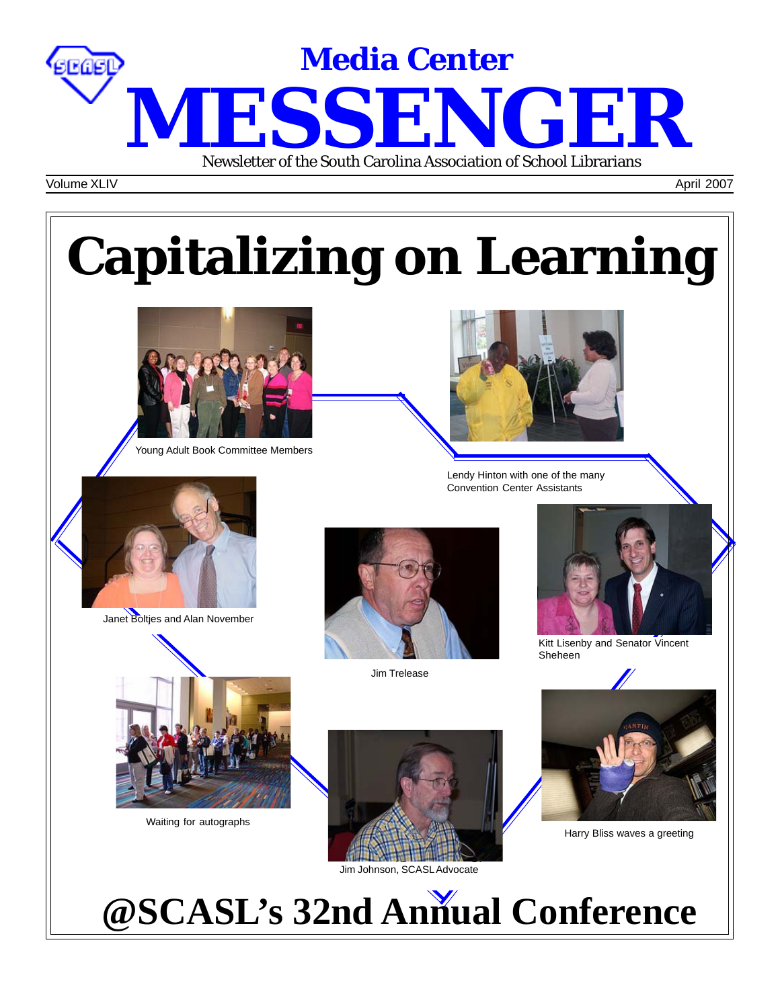

Volume XLIV April 2007

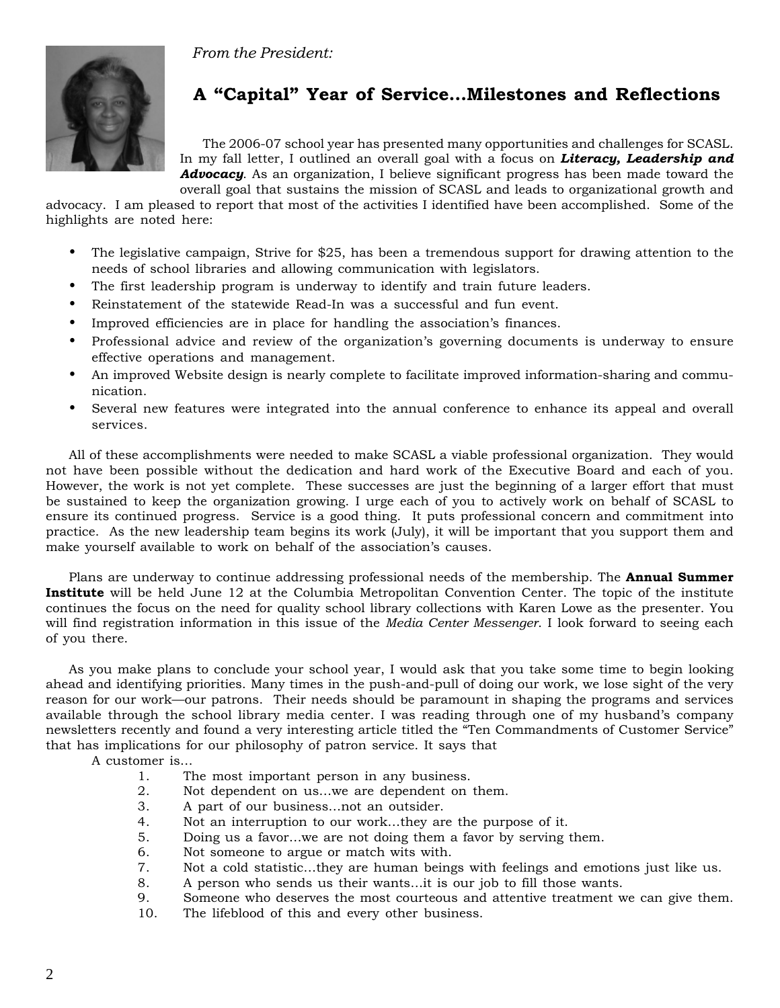*From the President:*



# **A "Capital" Year of Service…Milestones and Reflections**

The 2006-07 school year has presented many opportunities and challenges for SCASL. In my fall letter, I outlined an overall goal with a focus on *Literacy, Leadership and Advocacy*. As an organization, I believe significant progress has been made toward the overall goal that sustains the mission of SCASL and leads to organizational growth and

advocacy. I am pleased to report that most of the activities I identified have been accomplished. Some of the highlights are noted here:

- The legislative campaign, Strive for \$25, has been a tremendous support for drawing attention to the needs of school libraries and allowing communication with legislators.
- The first leadership program is underway to identify and train future leaders.
- Reinstatement of the statewide Read-In was a successful and fun event.
- Improved efficiencies are in place for handling the association's finances.
- Professional advice and review of the organization's governing documents is underway to ensure effective operations and management.
- An improved Website design is nearly complete to facilitate improved information-sharing and communication.
- Several new features were integrated into the annual conference to enhance its appeal and overall services.

All of these accomplishments were needed to make SCASL a viable professional organization. They would not have been possible without the dedication and hard work of the Executive Board and each of you. However, the work is not yet complete. These successes are just the beginning of a larger effort that must be sustained to keep the organization growing. I urge each of you to actively work on behalf of SCASL to ensure its continued progress. Service is a good thing. It puts professional concern and commitment into practice. As the new leadership team begins its work (July), it will be important that you support them and make yourself available to work on behalf of the association's causes.

Plans are underway to continue addressing professional needs of the membership. The **Annual Summer Institute** will be held June 12 at the Columbia Metropolitan Convention Center. The topic of the institute continues the focus on the need for quality school library collections with Karen Lowe as the presenter. You will find registration information in this issue of the *Media Center Messenger*. I look forward to seeing each of you there.

As you make plans to conclude your school year, I would ask that you take some time to begin looking ahead and identifying priorities. Many times in the push-and-pull of doing our work, we lose sight of the very reason for our work—our patrons. Their needs should be paramount in shaping the programs and services available through the school library media center. I was reading through one of my husband's company newsletters recently and found a very interesting article titled the "Ten Commandments of Customer Service" that has implications for our philosophy of patron service. It says that

A customer is…

- 1. The most important person in any business.<br>2 Not dependent on us we are dependent on
- 2. Not dependent on us...we are dependent on them.<br>3. A part of our business...not an outsider.
- 3. A part of our business…not an outsider.
- 4. Not an interruption to our work…they are the purpose of it.
- 5. Doing us a favor…we are not doing them a favor by serving them.
- 6. Not someone to argue or match wits with.
- 7. Not a cold statistic…they are human beings with feelings and emotions just like us.
- 8. A person who sends us their wants…it is our job to fill those wants.
- 9. Someone who deserves the most courteous and attentive treatment we can give them.
- 10. The lifeblood of this and every other business.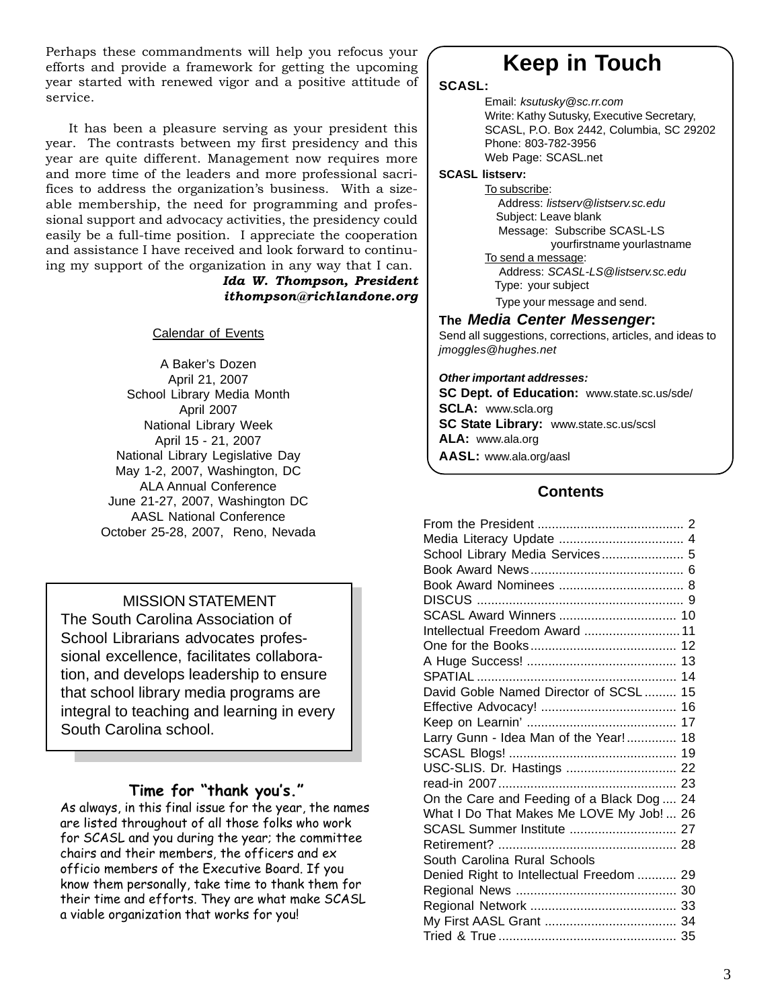Perhaps these commandments will help you refocus your efforts and provide a framework for getting the upcoming year started with renewed vigor and a positive attitude of service.

It has been a pleasure serving as your president this year. The contrasts between my first presidency and this year are quite different. Management now requires more and more time of the leaders and more professional sacrifices to address the organization's business. With a sizeable membership, the need for programming and professional support and advocacy activities, the presidency could easily be a full-time position. I appreciate the cooperation and assistance I have received and look forward to continuing my support of the organization in any way that I can.

# *Ida W. Thompson, President ithompson@richlandone.org*

Calendar of Events

A Baker's Dozen April 21, 2007 School Library Media Month April 2007 National Library Week April 15 - 21, 2007 National Library Legislative Day May 1-2, 2007, Washington, DC ALA Annual Conference June 21-27, 2007, Washington DC AASL National Conference October 25-28, 2007, Reno, Nevada

# MISSION STATEMENT

The South Carolina Association of School Librarians advocates professional excellence, facilitates collaboration, and develops leadership to ensure that school library media programs are integral to teaching and learning in every South Carolina school.

# **Time for "thank you's."**

As always, in this final issue for the year, the names are listed throughout of all those folks who work for SCASL and you during the year; the committee chairs and their members, the officers and ex officio members of the Executive Board. If you know them personally, take time to thank them for their time and efforts. They are what make SCASL a viable organization that works for you!

# **Keep in Touch**

## **SCASL:**

Email: *ksutusky@sc.rr.com* Write: Kathy Sutusky, Executive Secretary, SCASL, P.O. Box 2442, Columbia, SC 29202 Phone: 803-782-3956 Web Page: SCASL.net

## **SCASL listserv:**

To subscribe: Address: *listserv@listserv.sc.edu* Subject: Leave blank Message: Subscribe SCASL-LS yourfirstname yourlastname

To send a message: Address: *SCASL-LS@listserv.sc.edu* Type: your subject

Type your message and send.

# **The** *Media Center Messenger***:**

Send all suggestions, corrections, articles, and ideas to *jmoggles@hughes.net*

# *Other important addresses:*

**SC Dept. of Education:** www.state.sc.us/sde/ **SCLA:** www.scla.org **SC State Library:** www.state.sc.us/scsl **ALA:** www.ala.org

**AASL:** www.ala.org/aasl

# **Contents**

| Media Literacy Update  4                   |  |
|--------------------------------------------|--|
| School Library Media Services 5            |  |
|                                            |  |
|                                            |  |
|                                            |  |
| SCASL Award Winners  10                    |  |
| Intellectual Freedom Award  11             |  |
|                                            |  |
|                                            |  |
|                                            |  |
| David Goble Named Director of SCSL  15     |  |
|                                            |  |
|                                            |  |
| Larry Gunn - Idea Man of the Year! 18      |  |
|                                            |  |
| USC-SLIS. Dr. Hastings  22                 |  |
|                                            |  |
| On the Care and Feeding of a Black Dog  24 |  |
| What I Do That Makes Me LOVE My Job!  26   |  |
| SCASL Summer Institute  27                 |  |
|                                            |  |
| South Carolina Rural Schools               |  |
| Denied Right to Intellectual Freedom  29   |  |
|                                            |  |
|                                            |  |
|                                            |  |
|                                            |  |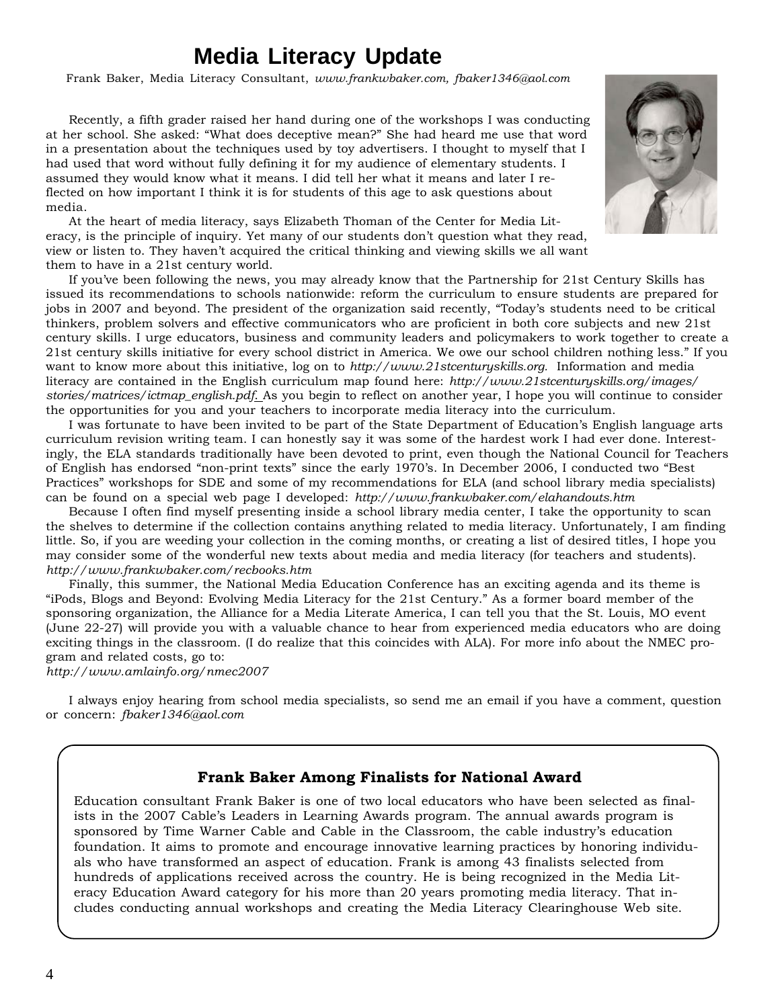# **Media Literacy Update**

Frank Baker, Media Literacy Consultant, *www.frankwbaker.com, fbaker1346@aol.com*

Recently, a fifth grader raised her hand during one of the workshops I was conducting at her school. She asked: "What does deceptive mean?" She had heard me use that word in a presentation about the techniques used by toy advertisers. I thought to myself that I had used that word without fully defining it for my audience of elementary students. I assumed they would know what it means. I did tell her what it means and later I reflected on how important I think it is for students of this age to ask questions about media.



At the heart of media literacy, says Elizabeth Thoman of the Center for Media Literacy, is the principle of inquiry. Yet many of our students don't question what they read, view or listen to. They haven't acquired the critical thinking and viewing skills we all want them to have in a 21st century world.

If you've been following the news, you may already know that the Partnership for 21st Century Skills has issued its recommendations to schools nationwide: reform the curriculum to ensure students are prepared for jobs in 2007 and beyond. The president of the organization said recently, "Today's students need to be critical thinkers, problem solvers and effective communicators who are proficient in both core subjects and new 21st century skills. I urge educators, business and community leaders and policymakers to work together to create a 21st century skills initiative for every school district in America. We owe our school children nothing less." If you want to know more about this initiative, log on to *http://www.21stcenturyskills.org.* Information and media literacy are contained in the English curriculum map found here: *http://www.21stcenturyskills.org/images/ stories/matrices/ictmap\_english.pdf*. As you begin to reflect on another year, I hope you will continue to consider the opportunities for you and your teachers to incorporate media literacy into the curriculum.

I was fortunate to have been invited to be part of the State Department of Education's English language arts curriculum revision writing team. I can honestly say it was some of the hardest work I had ever done. Interestingly, the ELA standards traditionally have been devoted to print, even though the National Council for Teachers of English has endorsed "non-print texts" since the early 1970's. In December 2006, I conducted two "Best Practices" workshops for SDE and some of my recommendations for ELA (and school library media specialists) can be found on a special web page I developed: *http://www.frankwbaker.com/elahandouts.htm*

Because I often find myself presenting inside a school library media center, I take the opportunity to scan the shelves to determine if the collection contains anything related to media literacy. Unfortunately, I am finding little. So, if you are weeding your collection in the coming months, or creating a list of desired titles, I hope you may consider some of the wonderful new texts about media and media literacy (for teachers and students). *http://www.frankwbaker.com/recbooks.htm*

Finally, this summer, the National Media Education Conference has an exciting agenda and its theme is "iPods, Blogs and Beyond: Evolving Media Literacy for the 21st Century." As a former board member of the sponsoring organization, the Alliance for a Media Literate America, I can tell you that the St. Louis, MO event (June 22-27) will provide you with a valuable chance to hear from experienced media educators who are doing exciting things in the classroom. (I do realize that this coincides with ALA). For more info about the NMEC program and related costs, go to:

*http://www.amlainfo.org/nmec2007*

I always enjoy hearing from school media specialists, so send me an email if you have a comment, question or concern: *fbaker1346@aol.com*

# **Frank Baker Among Finalists for National Award**

Education consultant Frank Baker is one of two local educators who have been selected as finalists in the 2007 Cable's Leaders in Learning Awards program. The annual awards program is sponsored by Time Warner Cable and Cable in the Classroom, the cable industry's education foundation. It aims to promote and encourage innovative learning practices by honoring individuals who have transformed an aspect of education. Frank is among 43 finalists selected from hundreds of applications received across the country. He is being recognized in the Media Literacy Education Award category for his more than 20 years promoting media literacy. That includes conducting annual workshops and creating the Media Literacy Clearinghouse Web site.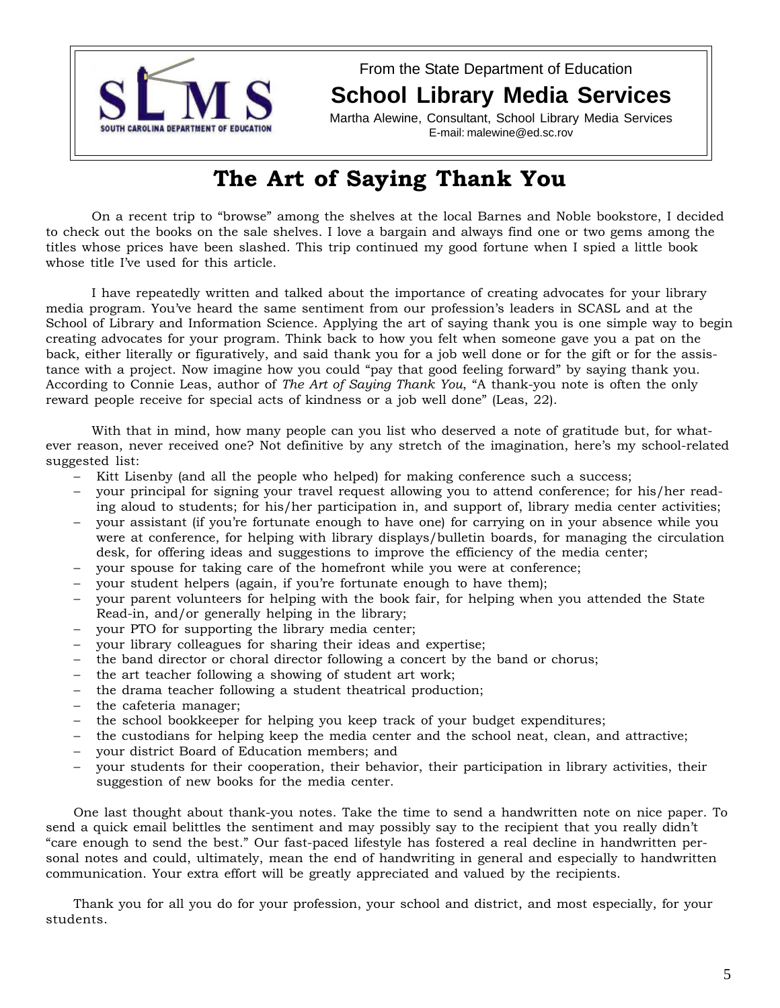

From the State Department of Education **School Library Media Services**

Martha Alewine, Consultant, School Library Media Services E-mail: malewine@ed.sc.rov

# **The Art of Saying Thank You**

On a recent trip to "browse" among the shelves at the local Barnes and Noble bookstore, I decided to check out the books on the sale shelves. I love a bargain and always find one or two gems among the titles whose prices have been slashed. This trip continued my good fortune when I spied a little book whose title I've used for this article.

I have repeatedly written and talked about the importance of creating advocates for your library media program. You've heard the same sentiment from our profession's leaders in SCASL and at the School of Library and Information Science. Applying the art of saying thank you is one simple way to begin creating advocates for your program. Think back to how you felt when someone gave you a pat on the back, either literally or figuratively, and said thank you for a job well done or for the gift or for the assistance with a project. Now imagine how you could "pay that good feeling forward" by saying thank you. According to Connie Leas, author of *The Art of Saying Thank You*, "A thank-you note is often the only reward people receive for special acts of kindness or a job well done" (Leas, 22).

With that in mind, how many people can you list who deserved a note of gratitude but, for whatever reason, never received one? Not definitive by any stretch of the imagination, here's my school-related suggested list:

- − Kitt Lisenby (and all the people who helped) for making conference such a success;
- − your principal for signing your travel request allowing you to attend conference; for his/her reading aloud to students; for his/her participation in, and support of, library media center activities;
- your assistant (if you're fortunate enough to have one) for carrying on in your absence while you were at conference, for helping with library displays/bulletin boards, for managing the circulation desk, for offering ideas and suggestions to improve the efficiency of the media center;
- − your spouse for taking care of the homefront while you were at conference;
- your student helpers (again, if you're fortunate enough to have them);
- your parent volunteers for helping with the book fair, for helping when you attended the State Read-in, and/or generally helping in the library;
- your PTO for supporting the library media center;
- your library colleagues for sharing their ideas and expertise;
- − the band director or choral director following a concert by the band or chorus;
- − the art teacher following a showing of student art work;
- − the drama teacher following a student theatrical production;
- − the cafeteria manager;
- − the school bookkeeper for helping you keep track of your budget expenditures;
- − the custodians for helping keep the media center and the school neat, clean, and attractive;
- − your district Board of Education members; and
- your students for their cooperation, their behavior, their participation in library activities, their suggestion of new books for the media center.

One last thought about thank-you notes. Take the time to send a handwritten note on nice paper. To send a quick email belittles the sentiment and may possibly say to the recipient that you really didn't "care enough to send the best." Our fast-paced lifestyle has fostered a real decline in handwritten personal notes and could, ultimately, mean the end of handwriting in general and especially to handwritten communication. Your extra effort will be greatly appreciated and valued by the recipients.

Thank you for all you do for your profession, your school and district, and most especially, for your students.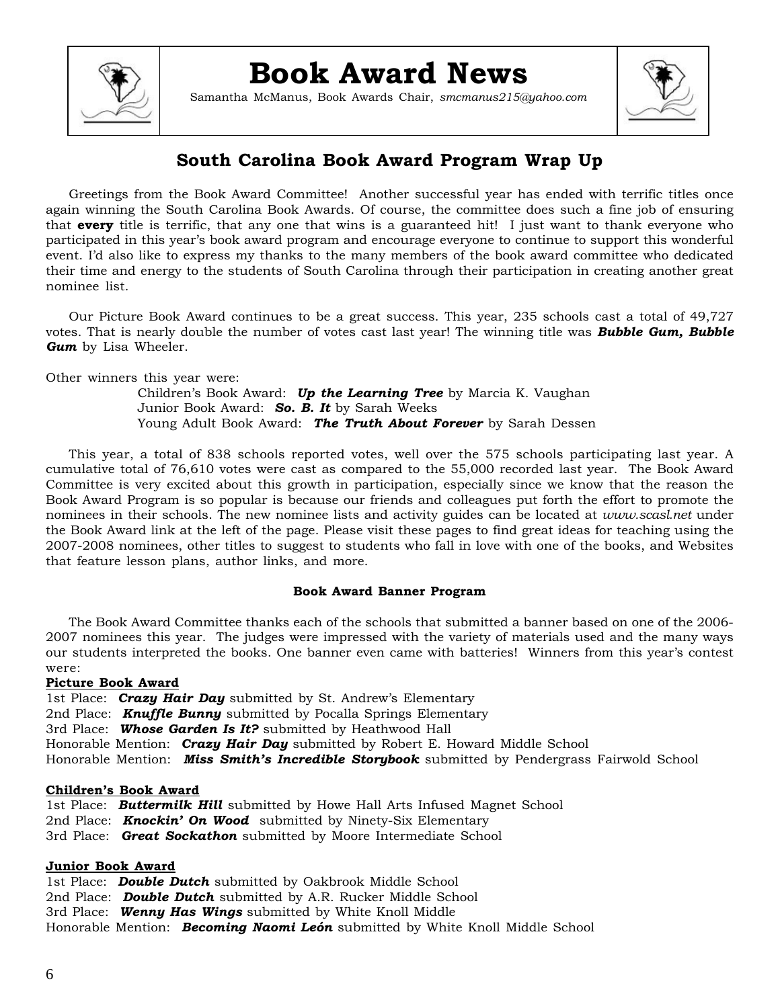

# **Book Award News**

Samantha McManus, Book Awards Chair, *smcmanus215@yahoo.com*



# **South Carolina Book Award Program Wrap Up**

Greetings from the Book Award Committee! Another successful year has ended with terrific titles once again winning the South Carolina Book Awards. Of course, the committee does such a fine job of ensuring that **every** title is terrific, that any one that wins is a guaranteed hit! I just want to thank everyone who participated in this year's book award program and encourage everyone to continue to support this wonderful event. I'd also like to express my thanks to the many members of the book award committee who dedicated their time and energy to the students of South Carolina through their participation in creating another great nominee list.

Our Picture Book Award continues to be a great success. This year, 235 schools cast a total of 49,727 votes. That is nearly double the number of votes cast last year! The winning title was *Bubble Gum, Bubble Gum* by Lisa Wheeler.

Other winners this year were:

Children's Book Award: *Up the Learning Tree* by Marcia K. Vaughan Junior Book Award: *So. B. It* by Sarah Weeks Young Adult Book Award: *The Truth About Forever* by Sarah Dessen

This year, a total of 838 schools reported votes, well over the 575 schools participating last year. A cumulative total of 76,610 votes were cast as compared to the 55,000 recorded last year. The Book Award Committee is very excited about this growth in participation, especially since we know that the reason the Book Award Program is so popular is because our friends and colleagues put forth the effort to promote the nominees in their schools. The new nominee lists and activity guides can be located at *www.scasl.net* under the Book Award link at the left of the page. Please visit these pages to find great ideas for teaching using the 2007-2008 nominees, other titles to suggest to students who fall in love with one of the books, and Websites that feature lesson plans, author links, and more.

## **Book Award Banner Program**

The Book Award Committee thanks each of the schools that submitted a banner based on one of the 2006- 2007 nominees this year. The judges were impressed with the variety of materials used and the many ways our students interpreted the books. One banner even came with batteries! Winners from this year's contest were:

## **Picture Book Award**

1st Place: *Crazy Hair Day* submitted by St. Andrew's Elementary 2nd Place: *Knuffle Bunny* submitted by Pocalla Springs Elementary 3rd Place: *Whose Garden Is It?* submitted by Heathwood Hall Honorable Mention: *Crazy Hair Day* submitted by Robert E. Howard Middle School Honorable Mention: *Miss Smith's Incredible Storybook* submitted by Pendergrass Fairwold School

## **Children's Book Award**

1st Place: *Buttermilk Hill* submitted by Howe Hall Arts Infused Magnet School 2nd Place: *Knockin' On Wood* submitted by Ninety-Six Elementary 3rd Place: *Great Sockathon* submitted by Moore Intermediate School

## **Junior Book Award**

1st Place: *Double Dutch* submitted by Oakbrook Middle School 2nd Place: *Double Dutch* submitted by A.R. Rucker Middle School 3rd Place: *Wenny Has Wings* submitted by White Knoll Middle Honorable Mention: *Becoming Naomi León* submitted by White Knoll Middle School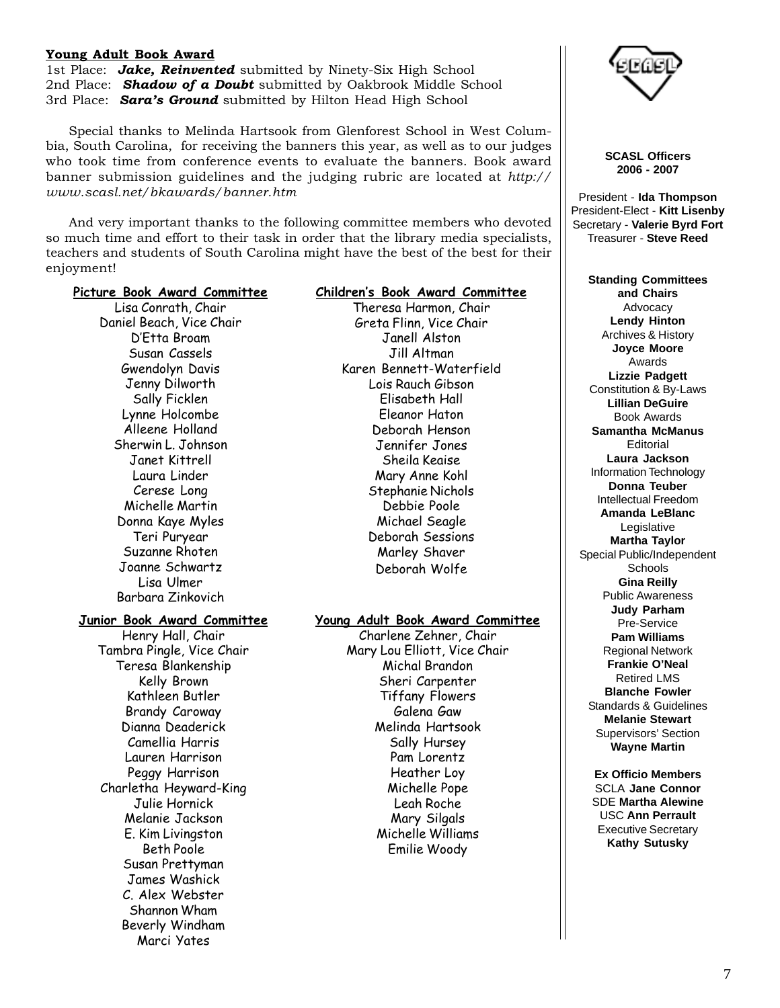### **Young Adult Book Award**

1st Place: *Jake, Reinvented* submitted by Ninety-Six High School 2nd Place: *Shadow of a Doubt* submitted by Oakbrook Middle School 3rd Place: *Sara's Ground* submitted by Hilton Head High School

Special thanks to Melinda Hartsook from Glenforest School in West Columbia, South Carolina, for receiving the banners this year, as well as to our judges who took time from conference events to evaluate the banners. Book award banner submission guidelines and the judging rubric are located at *http:// www.scasl.net/bkawards/banner.htm*

And very important thanks to the following committee members who devoted so much time and effort to their task in order that the library media specialists, teachers and students of South Carolina might have the best of the best for their enjoyment!

## **Picture Book Award Committee**

Lisa Conrath, Chair Daniel Beach, Vice Chair D'Etta Broam Susan Cassels Gwendolyn Davis Jenny Dilworth Sally Ficklen Lynne Holcombe Alleene Holland Sherwin L. Johnson Janet Kittrell Laura Linder Cerese Long Michelle Martin Donna Kaye Myles Teri Puryear Suzanne Rhoten Joanne Schwartz Lisa Ulmer Barbara Zinkovich

#### **Junior Book Award Committee**

Henry Hall, Chair Tambra Pingle, Vice Chair Teresa Blankenship Kelly Brown Kathleen Butler Brandy Caroway Dianna Deaderick Camellia Harris Lauren Harrison Peggy Harrison Charletha Heyward-King Julie Hornick Melanie Jackson E. Kim Livingston Beth Poole Susan Prettyman James Washick C. Alex Webster Shannon Wham Beverly Windham Marci Yates

## **Children's Book Award Committee**

Theresa Harmon, Chair Greta Flinn, Vice Chair Janell Alston Jill Altman Karen Bennett-Waterfield Lois Rauch Gibson Elisabeth Hall Eleanor Haton Deborah Henson Jennifer Jones Sheila Keaise Mary Anne Kohl Stephanie Nichols Debbie Poole Michael Seagle Deborah Sessions Marley Shaver Deborah Wolfe

#### **Young Adult Book Award Committee**

Charlene Zehner, Chair Mary Lou Elliott, Vice Chair Michal Brandon Sheri Carpenter Tiffany Flowers Galena Gaw Melinda Hartsook Sally Hursey Pam Lorentz Heather Loy Michelle Pope Leah Roche Mary Silgals Michelle Williams Emilie Woody



**SCASL Officers 2006 - 2007**

President - **Ida Thompson** President-Elect - **Kitt Lisenby** Secretary - **Valerie Byrd Fort** Treasurer - **Steve Reed**

**Standing Committees and Chairs** Advocacy **Lendy Hinton** Archives & History **Joyce Moore** Awards **Lizzie Padgett** Constitution & By-Laws **Lillian DeGuire** Book Awards **Samantha McManus** Editorial **Laura Jackson** Information Technology **Donna Teuber** Intellectual Freedom **Amanda LeBlanc** Legislative **Martha Taylor** Special Public/Independent **Schools Gina Reilly** Public Awareness **Judy Parham** Pre-Service **Pam Williams** Regional Network **Frankie O'Neal** Retired LMS **Blanche Fowler** Standards & Guidelines **Melanie Stewart** Supervisors' Section **Wayne Martin**

**Ex Officio Members** SCLA **Jane Connor** SDE **Martha Alewine** USC **Ann Perrault** Executive Secretary **Kathy Sutusky**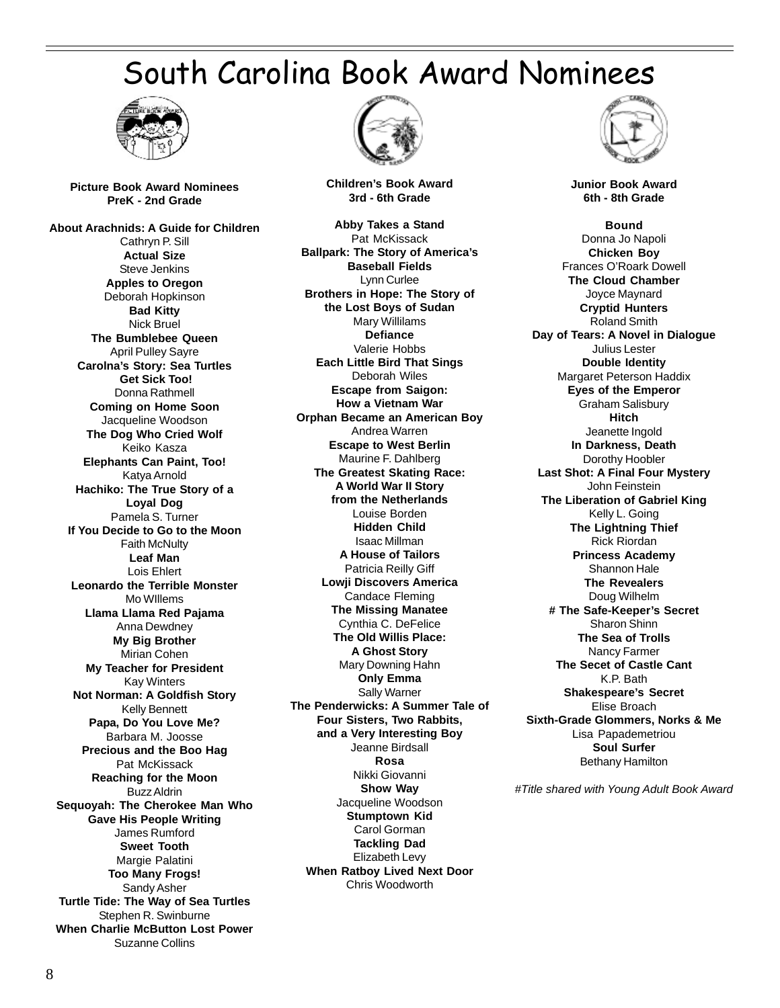# South Carolina Book Award Nominees



**Picture Book Award Nominees PreK - 2nd Grade**

**About Arachnids: A Guide for Children** Cathryn P. Sill **Actual Size** Steve Jenkins **Apples to Oregon** Deborah Hopkinson **Bad Kitty** Nick Bruel **The Bumblebee Queen** April Pulley Sayre **Carolna's Story: Sea Turtles Get Sick Too!** Donna Rathmell **Coming on Home Soon** Jacqueline Woodson **The Dog Who Cried Wolf** Keiko Kasza **Elephants Can Paint, Too!** Katya Arnold **Hachiko: The True Story of a Loyal Dog** Pamela S. Turner **If You Decide to Go to the Moon** Faith McNulty **Leaf Man** Lois Ehlert **Leonardo the Terrible Monster** Mo WIllems **Llama Llama Red Pajama** Anna Dewdney **My Big Brother** Mirian Cohen **My Teacher for President** Kay Winters **Not Norman: A Goldfish Story** Kelly Bennett **Papa, Do You Love Me?** Barbara M. Joosse **Precious and the Boo Hag** Pat McKissack **Reaching for the Moon** Buzz Aldrin **Sequoyah: The Cherokee Man Who Gave His People Writing** James Rumford **Sweet Tooth** Margie Palatini **Too Many Frogs!** Sandy Asher **Turtle Tide: The Way of Sea Turtles** Stephen R. Swinburne **When Charlie McButton Lost Power** Suzanne Collins



**Children's Book Award 3rd - 6th Grade**

**Abby Takes a Stand** Pat McKissack **Ballpark: The Story of America's Baseball Fields** Lynn Curlee **Brothers in Hope: The Story of the Lost Boys of Sudan** Mary Willilams **Defiance** Valerie Hobbs **Each Little Bird That Sings** Deborah Wiles **Escape from Saigon: How a Vietnam War Orphan Became an American Boy** Andrea Warren **Escape to West Berlin** Maurine F. Dahlberg **The Greatest Skating Race: A World War II Story from the Netherlands** Louise Borden **Hidden Child** Isaac Millman **A House of Tailors** Patricia Reilly Giff **Lowji Discovers America** Candace Fleming **The Missing Manatee** Cynthia C. DeFelice **The Old Willis Place: A Ghost Story** Mary Downing Hahn **Only Emma** Sally Warner **The Penderwicks: A Summer Tale of Four Sisters, Two Rabbits, and a Very Interesting Boy** Jeanne Birdsall **Rosa** Nikki Giovanni **Show Way** Jacqueline Woodson **Stumptown Kid** Carol Gorman **Tackling Dad** Elizabeth Levy **When Ratboy Lived Next Door** Chris Woodworth



**Junior Book Award 6th - 8th Grade**

**Bound** Donna Jo Napoli **Chicken Boy** Frances O'Roark Dowell **The Cloud Chamber** Joyce Maynard **Cryptid Hunters** Roland Smith **Day of Tears: A Novel in Dialogue** Julius Lester **Double Identity** Margaret Peterson Haddix **Eyes of the Emperor** Graham Salisbury **Hitch** Jeanette Ingold **In Darkness, Death** Dorothy Hoobler **Last Shot: A Final Four Mystery** John Feinstein **The Liberation of Gabriel King** Kelly L. Going **The Lightning Thief** Rick Riordan **Princess Academy** Shannon Hale **The Revealers** Doug Wilhelm **# The Safe-Keeper's Secret** Sharon Shinn **The Sea of Trolls** Nancy Farmer **The Secet of Castle Cant** K.P. Bath **Shakespeare's Secret** Elise Broach **Sixth-Grade Glommers, Norks & Me** Lisa Papademetriou **Soul Surfer** Bethany Hamilton

*#Title shared with Young Adult Book Award*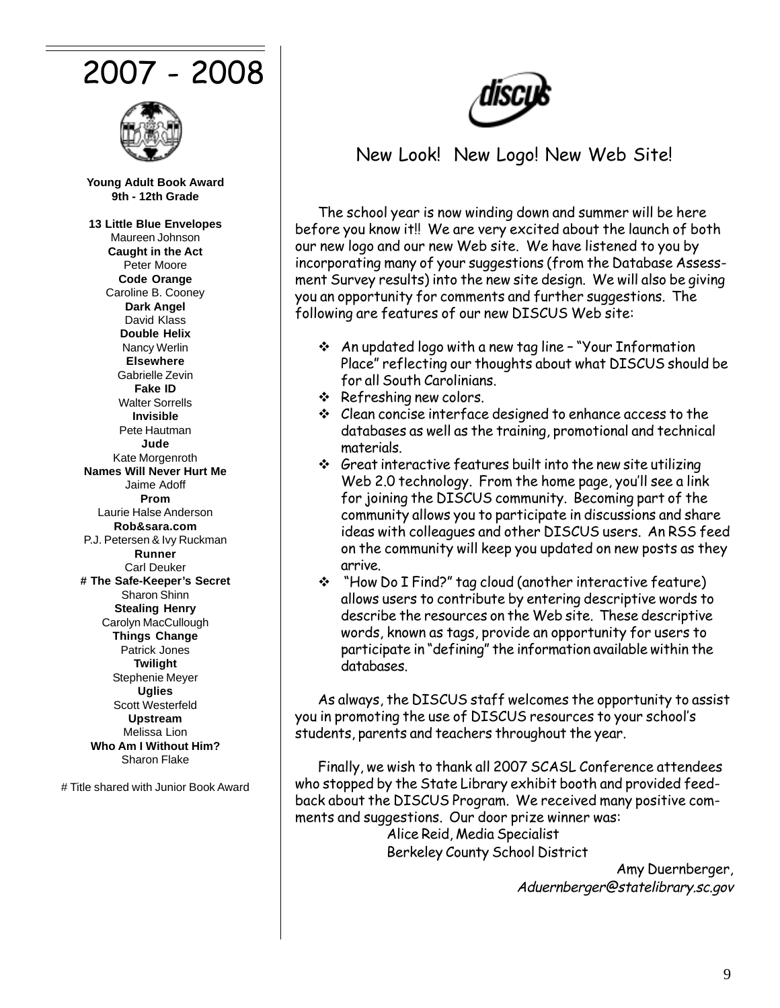# 2007 - 2008



**Young Adult Book Award 9th - 12th Grade**

**13 Little Blue Envelopes** Maureen Johnson **Caught in the Act** Peter Moore **Code Orange** Caroline B. Cooney **Dark Angel** David Klass **Double Helix** Nancy Werlin **Elsewhere** Gabrielle Zevin **Fake ID** Walter Sorrells **Invisible** Pete Hautman **Jude** Kate Morgenroth **Names Will Never Hurt Me** Jaime Adoff **Prom** Laurie Halse Anderson **Rob&sara.com** P.J. Petersen & Ivy Ruckman **Runner** Carl Deuker **# The Safe-Keeper's Secret** Sharon Shinn **Stealing Henry** Carolyn MacCullough **Things Change** Patrick Jones **Twilight** Stephenie Meyer **Uglies** Scott Westerfeld **Upstream** Melissa Lion **Who Am I Without Him?** Sharon Flake

# Title shared with Junior Book Award

# New Look! New Logo! New Web Site!

The school year is now winding down and summer will be here before you know it!! We are very excited about the launch of both our new logo and our new Web site. We have listened to you by incorporating many of your suggestions (from the Database Assessment Survey results) into the new site design. We will also be giving you an opportunity for comments and further suggestions. The following are features of our new DISCUS Web site:

- An updated logo with a new tag line "Your Information Place" reflecting our thoughts about what DISCUS should be for all South Carolinians.
- $\div$  Refreshing new colors.
- Clean concise interface designed to enhance access to the databases as well as the training, promotional and technical materials.
- $\div$  Great interactive features built into the new site utilizing Web 2.0 technology. From the home page, you'll see a link for joining the DISCUS community. Becoming part of the community allows you to participate in discussions and share ideas with colleagues and other DISCUS users. An RSS feed on the community will keep you updated on new posts as they arrive.
- "How Do I Find?" tag cloud (another interactive feature) allows users to contribute by entering descriptive words to describe the resources on the Web site. These descriptive words, known as tags, provide an opportunity for users to participate in "defining" the information available within the databases.

As always, the DISCUS staff welcomes the opportunity to assist you in promoting the use of DISCUS resources to your school's students, parents and teachers throughout the year.

Finally, we wish to thank all 2007 SCASL Conference attendees who stopped by the State Library exhibit booth and provided feedback about the DISCUS Program. We received many positive comments and suggestions. Our door prize winner was: Alice Reid, Media Specialist Berkeley County School District

> Amy Duernberger, Aduernberger@statelibrary.sc.gov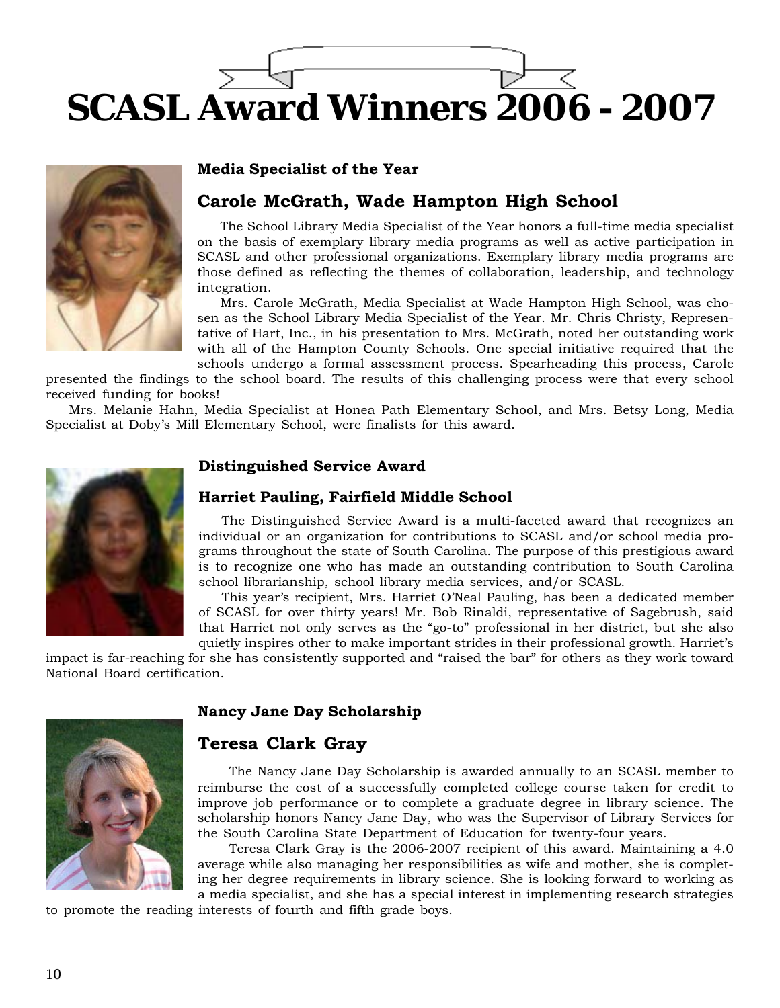# **SCASL Award Winners 2006 - 2007**



# **Media Specialist of the Year**

# **Carole McGrath, Wade Hampton High School**

The School Library Media Specialist of the Year honors a full-time media specialist on the basis of exemplary library media programs as well as active participation in SCASL and other professional organizations. Exemplary library media programs are those defined as reflecting the themes of collaboration, leadership, and technology integration.

Mrs. Carole McGrath, Media Specialist at Wade Hampton High School, was chosen as the School Library Media Specialist of the Year. Mr. Chris Christy, Representative of Hart, Inc., in his presentation to Mrs. McGrath, noted her outstanding work with all of the Hampton County Schools. One special initiative required that the schools undergo a formal assessment process. Spearheading this process, Carole

presented the findings to the school board. The results of this challenging process were that every school received funding for books!

Mrs. Melanie Hahn, Media Specialist at Honea Path Elementary School, and Mrs. Betsy Long, Media Specialist at Doby's Mill Elementary School, were finalists for this award.



# **Distinguished Service Award**

# **Harriet Pauling, Fairfield Middle School**

The Distinguished Service Award is a multi-faceted award that recognizes an individual or an organization for contributions to SCASL and/or school media programs throughout the state of South Carolina. The purpose of this prestigious award is to recognize one who has made an outstanding contribution to South Carolina school librarianship, school library media services, and/or SCASL.

This year's recipient, Mrs. Harriet O'Neal Pauling, has been a dedicated member of SCASL for over thirty years! Mr. Bob Rinaldi, representative of Sagebrush, said that Harriet not only serves as the "go-to" professional in her district, but she also quietly inspires other to make important strides in their professional growth. Harriet's

impact is far-reaching for she has consistently supported and "raised the bar" for others as they work toward National Board certification.



# **Nancy Jane Day Scholarship**

# **Teresa Clark Gray**

The Nancy Jane Day Scholarship is awarded annually to an SCASL member to reimburse the cost of a successfully completed college course taken for credit to improve job performance or to complete a graduate degree in library science. The scholarship honors Nancy Jane Day, who was the Supervisor of Library Services for the South Carolina State Department of Education for twenty-four years.

Teresa Clark Gray is the 2006-2007 recipient of this award. Maintaining a 4.0 average while also managing her responsibilities as wife and mother, she is completing her degree requirements in library science. She is looking forward to working as a media specialist, and she has a special interest in implementing research strategies

to promote the reading interests of fourth and fifth grade boys.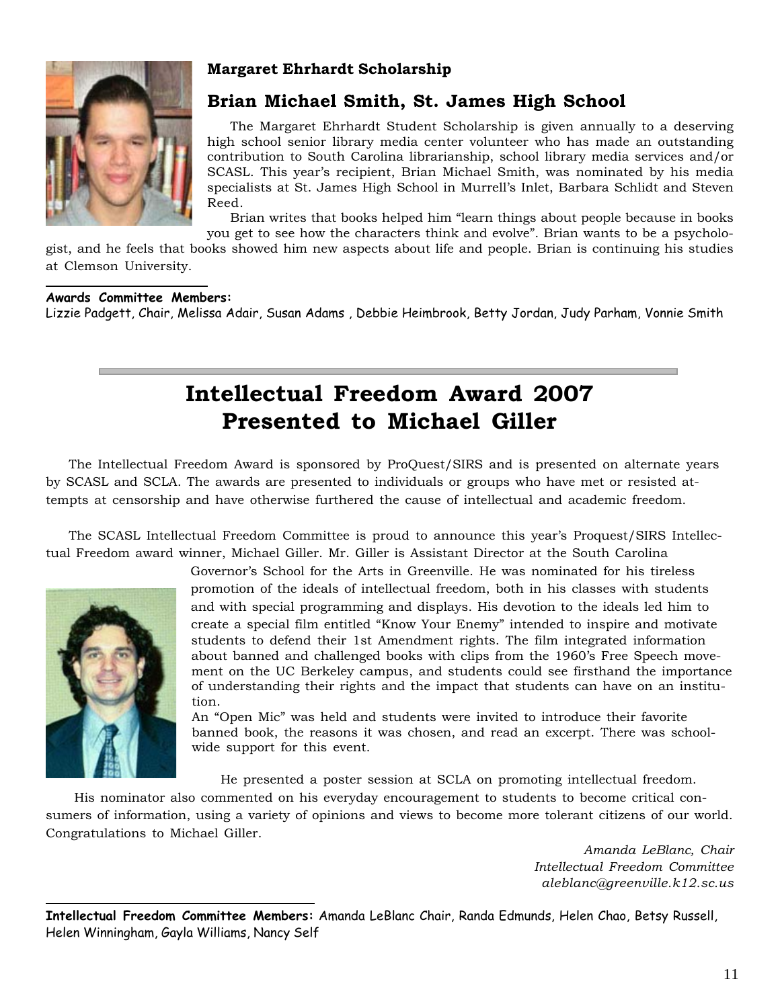

# **Margaret Ehrhardt Scholarship**

# **Brian Michael Smith, St. James High School**

The Margaret Ehrhardt Student Scholarship is given annually to a deserving high school senior library media center volunteer who has made an outstanding contribution to South Carolina librarianship, school library media services and/or SCASL. This year's recipient, Brian Michael Smith, was nominated by his media specialists at St. James High School in Murrell's Inlet, Barbara Schlidt and Steven Reed.

Brian writes that books helped him "learn things about people because in books you get to see how the characters think and evolve". Brian wants to be a psycholo-

gist, and he feels that books showed him new aspects about life and people. Brian is continuing his studies at Clemson University.

## **Awards Committee Members:**

Lizzie Padgett, Chair, Melissa Adair, Susan Adams , Debbie Heimbrook, Betty Jordan, Judy Parham, Vonnie Smith

# **Intellectual Freedom Award 2007 Presented to Michael Giller**

The Intellectual Freedom Award is sponsored by ProQuest/SIRS and is presented on alternate years by SCASL and SCLA. The awards are presented to individuals or groups who have met or resisted attempts at censorship and have otherwise furthered the cause of intellectual and academic freedom.

The SCASL Intellectual Freedom Committee is proud to announce this year's Proquest/SIRS Intellectual Freedom award winner, Michael Giller. Mr. Giller is Assistant Director at the South Carolina



Governor's School for the Arts in Greenville. He was nominated for his tireless promotion of the ideals of intellectual freedom, both in his classes with students and with special programming and displays. His devotion to the ideals led him to create a special film entitled "Know Your Enemy" intended to inspire and motivate students to defend their 1st Amendment rights. The film integrated information about banned and challenged books with clips from the 1960's Free Speech movement on the UC Berkeley campus, and students could see firsthand the importance of understanding their rights and the impact that students can have on an institution.

An "Open Mic" was held and students were invited to introduce their favorite banned book, the reasons it was chosen, and read an excerpt. There was schoolwide support for this event.

He presented a poster session at SCLA on promoting intellectual freedom.

 His nominator also commented on his everyday encouragement to students to become critical consumers of information, using a variety of opinions and views to become more tolerant citizens of our world. Congratulations to Michael Giller.

> *Amanda LeBlanc, Chair Intellectual Freedom Committee aleblanc@greenville.k12.sc.us*

**Intellectual Freedom Committee Members:** Amanda LeBlanc Chair, Randa Edmunds, Helen Chao, Betsy Russell, Helen Winningham, Gayla Williams, Nancy Self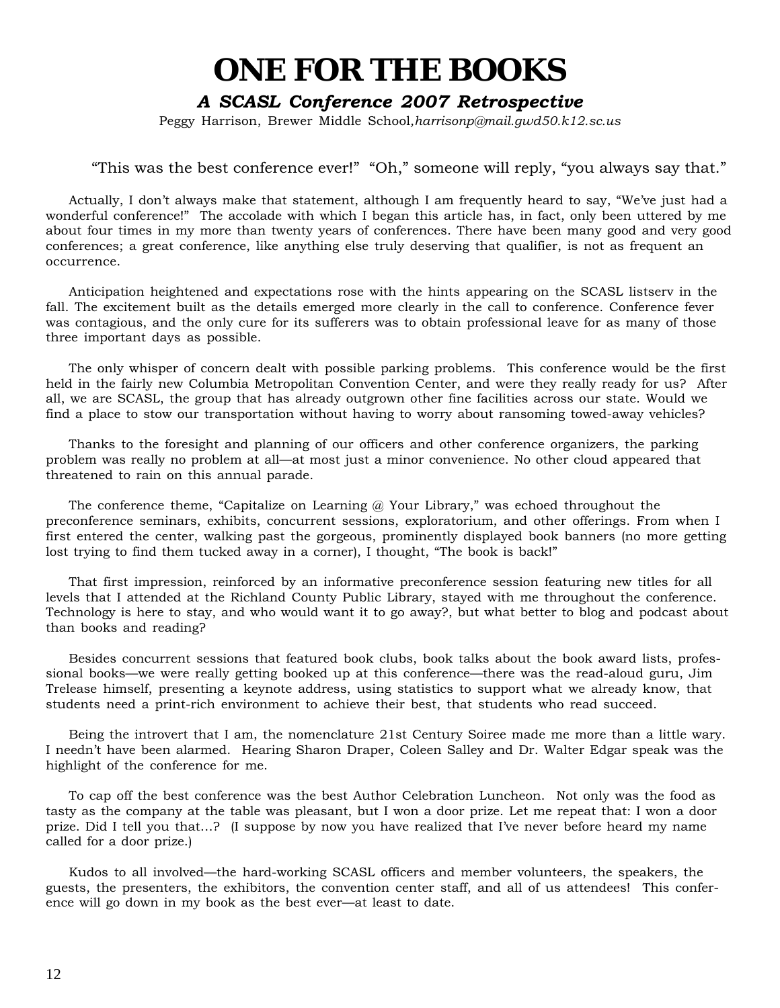# **ONE FOR THE BOOKS**

# *A SCASL Conference 2007 Retrospective*

Peggy Harrison, Brewer Middle School*,harrisonp@mail.gwd50.k12.sc.us*

# "This was the best conference ever!" "Oh," someone will reply, "you always say that."

Actually, I don't always make that statement, although I am frequently heard to say, "We've just had a wonderful conference!" The accolade with which I began this article has, in fact, only been uttered by me about four times in my more than twenty years of conferences. There have been many good and very good conferences; a great conference, like anything else truly deserving that qualifier, is not as frequent an occurrence.

Anticipation heightened and expectations rose with the hints appearing on the SCASL listserv in the fall. The excitement built as the details emerged more clearly in the call to conference. Conference fever was contagious, and the only cure for its sufferers was to obtain professional leave for as many of those three important days as possible.

The only whisper of concern dealt with possible parking problems. This conference would be the first held in the fairly new Columbia Metropolitan Convention Center, and were they really ready for us? After all, we are SCASL, the group that has already outgrown other fine facilities across our state. Would we find a place to stow our transportation without having to worry about ransoming towed-away vehicles?

Thanks to the foresight and planning of our officers and other conference organizers, the parking problem was really no problem at all—at most just a minor convenience. No other cloud appeared that threatened to rain on this annual parade.

The conference theme, "Capitalize on Learning  $\omega$  Your Library," was echoed throughout the preconference seminars, exhibits, concurrent sessions, exploratorium, and other offerings. From when I first entered the center, walking past the gorgeous, prominently displayed book banners (no more getting lost trying to find them tucked away in a corner), I thought, "The book is back!"

That first impression, reinforced by an informative preconference session featuring new titles for all levels that I attended at the Richland County Public Library, stayed with me throughout the conference. Technology is here to stay, and who would want it to go away?, but what better to blog and podcast about than books and reading?

Besides concurrent sessions that featured book clubs, book talks about the book award lists, professional books—we were really getting booked up at this conference—there was the read-aloud guru, Jim Trelease himself, presenting a keynote address, using statistics to support what we already know, that students need a print-rich environment to achieve their best, that students who read succeed.

Being the introvert that I am, the nomenclature 21st Century Soiree made me more than a little wary. I needn't have been alarmed. Hearing Sharon Draper, Coleen Salley and Dr. Walter Edgar speak was the highlight of the conference for me.

To cap off the best conference was the best Author Celebration Luncheon. Not only was the food as tasty as the company at the table was pleasant, but I won a door prize. Let me repeat that: I won a door prize. Did I tell you that…? (I suppose by now you have realized that I've never before heard my name called for a door prize.)

Kudos to all involved—the hard-working SCASL officers and member volunteers, the speakers, the guests, the presenters, the exhibitors, the convention center staff, and all of us attendees! This conference will go down in my book as the best ever—at least to date.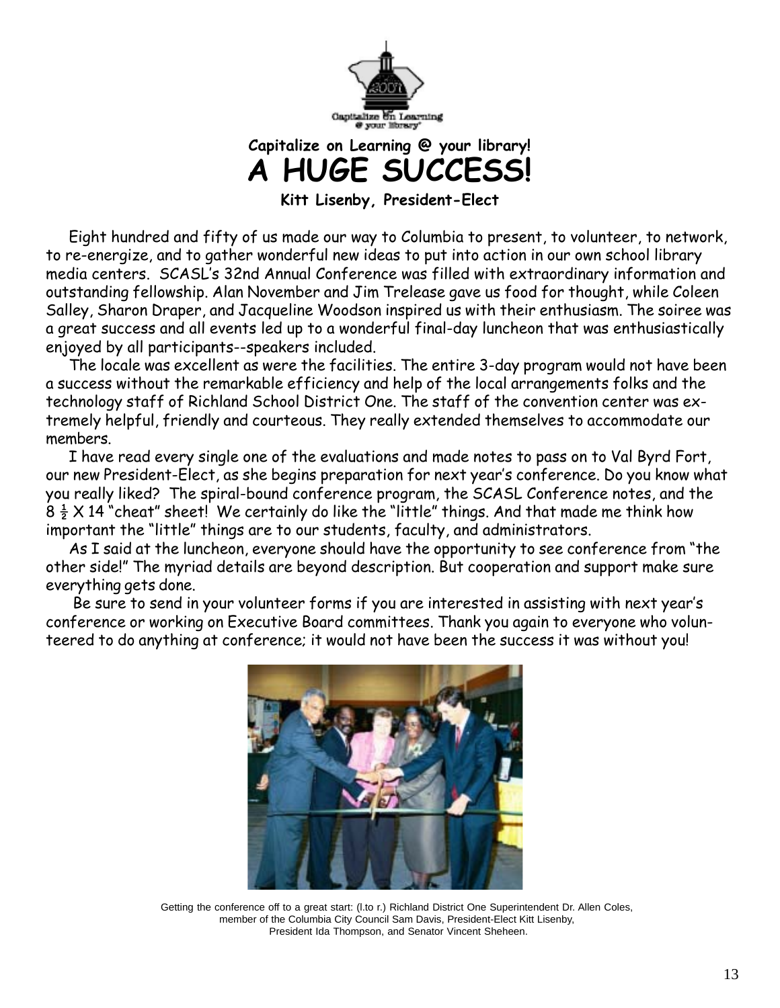

**Capitalize on Learning @ your library! A HUGE SUCCESS!**

**Kitt Lisenby, President-Elect**

Eight hundred and fifty of us made our way to Columbia to present, to volunteer, to network, to re-energize, and to gather wonderful new ideas to put into action in our own school library media centers. SCASL's 32nd Annual Conference was filled with extraordinary information and outstanding fellowship. Alan November and Jim Trelease gave us food for thought, while Coleen Salley, Sharon Draper, and Jacqueline Woodson inspired us with their enthusiasm. The soiree was a great success and all events led up to a wonderful final-day luncheon that was enthusiastically enjoyed by all participants--speakers included.

The locale was excellent as were the facilities. The entire 3-day program would not have been a success without the remarkable efficiency and help of the local arrangements folks and the technology staff of Richland School District One. The staff of the convention center was extremely helpful, friendly and courteous. They really extended themselves to accommodate our members.

I have read every single one of the evaluations and made notes to pass on to Val Byrd Fort, our new President-Elect, as she begins preparation for next year's conference. Do you know what you really liked? The spiral-bound conference program, the SCASL Conference notes, and the  $8\frac{1}{2}$  X 14 "cheat" sheet! We certainly do like the "little" things. And that made me think how important the "little" things are to our students, faculty, and administrators.

As I said at the luncheon, everyone should have the opportunity to see conference from "the other side!" The myriad details are beyond description. But cooperation and support make sure everything gets done.

 Be sure to send in your volunteer forms if you are interested in assisting with next year's conference or working on Executive Board committees. Thank you again to everyone who volunteered to do anything at conference; it would not have been the success it was without you!



Getting the conference off to a great start: (l.to r.) Richland District One Superintendent Dr. Allen Coles, member of the Columbia City Council Sam Davis, President-Elect Kitt Lisenby, President Ida Thompson, and Senator Vincent Sheheen.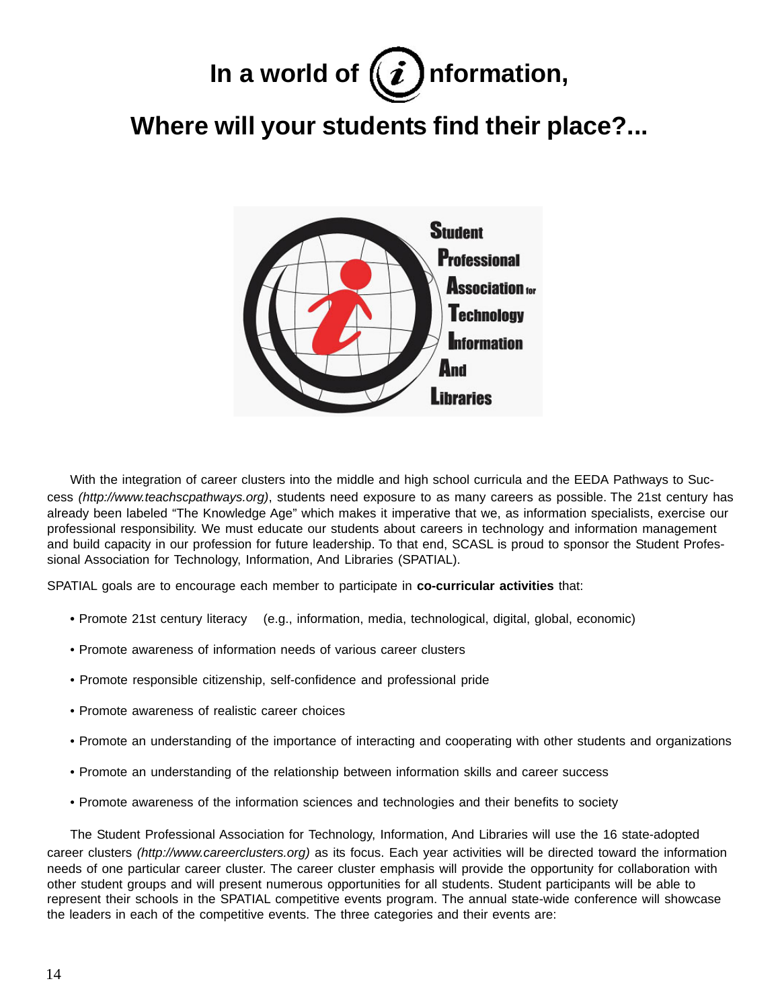# In a world of  $(i)$  nformation,

# **Where will your students find their place?...**



With the integration of career clusters into the middle and high school curricula and the EEDA Pathways to Success *(http://www.teachscpathways.org)*, students need exposure to as many careers as possible. The 21st century has already been labeled "The Knowledge Age" which makes it imperative that we, as information specialists, exercise our professional responsibility. We must educate our students about careers in technology and information management and build capacity in our profession for future leadership. To that end, SCASL is proud to sponsor the Student Professional Association for Technology, Information, And Libraries (SPATIAL).

SPATIAL goals are to encourage each member to participate in **co-curricular activities** that:

- Promote 21st century literacy (e.g., information, media, technological, digital, global, economic)
- Promote awareness of information needs of various career clusters
- Promote responsible citizenship, self-confidence and professional pride
- Promote awareness of realistic career choices
- Promote an understanding of the importance of interacting and cooperating with other students and organizations
- Promote an understanding of the relationship between information skills and career success
- Promote awareness of the information sciences and technologies and their benefits to society

The Student Professional Association for Technology, Information, And Libraries will use the 16 state-adopted career clusters *(http://www.careerclusters.org)* as its focus. Each year activities will be directed toward the information needs of one particular career cluster. The career cluster emphasis will provide the opportunity for collaboration with other student groups and will present numerous opportunities for all students. Student participants will be able to represent their schools in the SPATIAL competitive events program. The annual state-wide conference will showcase the leaders in each of the competitive events. The three categories and their events are: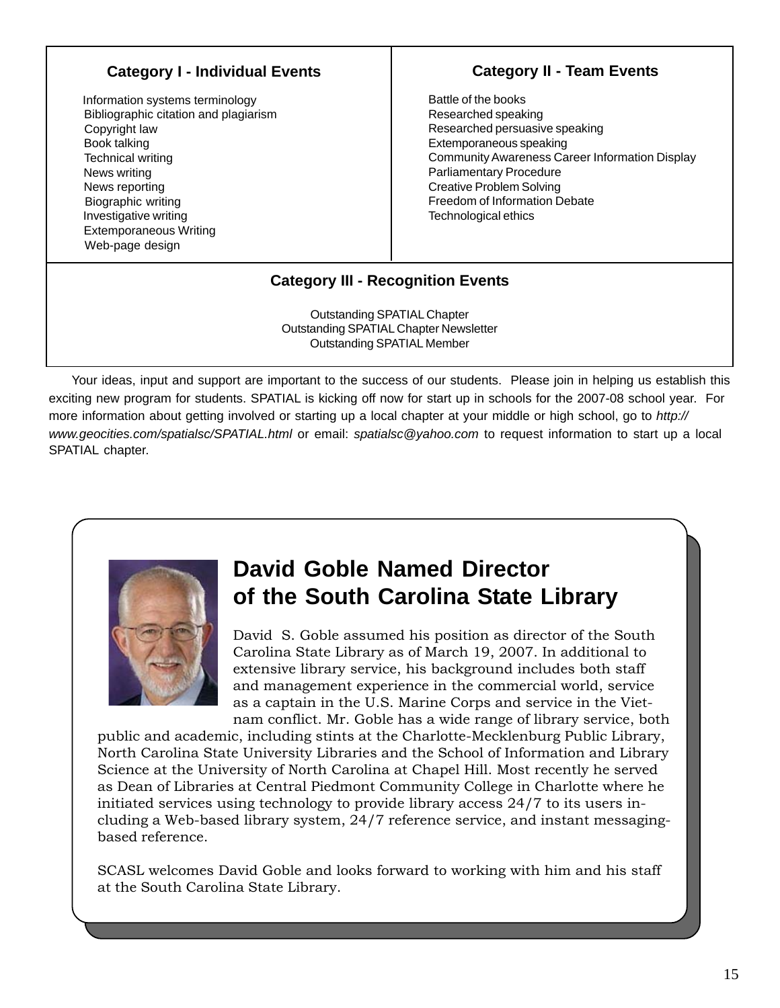# **Category I - Individual Events**

 Information systems terminology Bibliographic citation and plagiarism Copyright law Book talking Technical writing News writing News reporting Biographic writing Investigative writing Extemporaneous Writing Web-page design

# **Category II - Team Events**

**Category II - Team Events**

Battle of the books Researched speaking Researched persuasive speaking Extemporaneous speaking Community Awareness Career Information Display Parliamentary Procedure Creative Problem Solving Freedom of Information Debate Technological ethics

# **Category III - Recognition Events**

Outstanding SPATIAL Chapter Outstanding SPATIAL Chapter Newsletter Outstanding SPATIAL Member

Your ideas, input and support are important to the success of our students. Please join in helping us establish this exciting new program for students. SPATIAL is kicking off now for start up in schools for the 2007-08 school year. For more information about getting involved or starting up a local chapter at your middle or high school, go to *http:// www.geocities.com/spatialsc/SPATIAL.html* or email: *spatialsc@yahoo.com* to request information to start up a local SPATIAL chapter.



# **David Goble Named Director of the South Carolina State Library**

David S. Goble assumed his position as director of the South Carolina State Library as of March 19, 2007. In additional to extensive library service, his background includes both staff and management experience in the commercial world, service as a captain in the U.S. Marine Corps and service in the Vietnam conflict. Mr. Goble has a wide range of library service, both

public and academic, including stints at the Charlotte-Mecklenburg Public Library, North Carolina State University Libraries and the School of Information and Library Science at the University of North Carolina at Chapel Hill. Most recently he served as Dean of Libraries at Central Piedmont Community College in Charlotte where he initiated services using technology to provide library access 24/7 to its users including a Web-based library system, 24/7 reference service, and instant messagingbased reference.

SCASL welcomes David Goble and looks forward to working with him and his staff at the South Carolina State Library.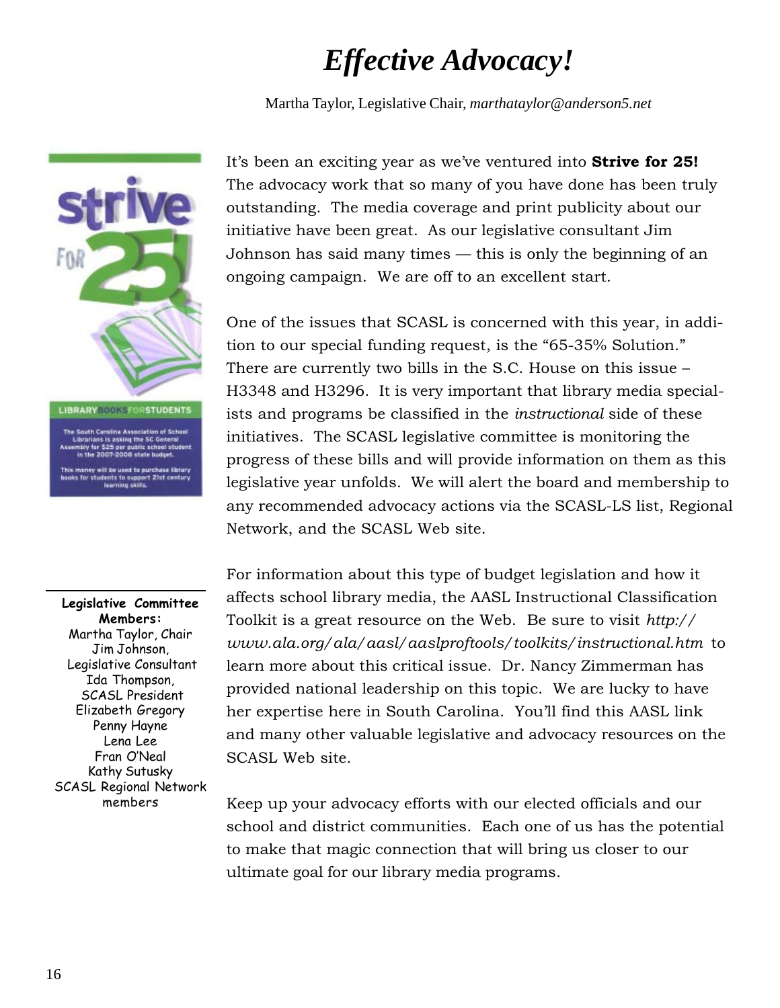# *Effective Advocacy!*

Martha Taylor, Legislative Chair, *marthataylor@anderson5.net*



**Legislative Committee Members:** Martha Taylor, Chair Jim Johnson, Legislative Consultant Ida Thompson, SCASL President Elizabeth Gregory Penny Hayne Lena Lee Fran O'Neal Kathy Sutusky SCASL Regional Network members

It's been an exciting year as we've ventured into **Strive for 25!** The advocacy work that so many of you have done has been truly outstanding. The media coverage and print publicity about our initiative have been great. As our legislative consultant Jim Johnson has said many times — this is only the beginning of an ongoing campaign. We are off to an excellent start.

One of the issues that SCASL is concerned with this year, in addition to our special funding request, is the "65-35% Solution." There are currently two bills in the S.C. House on this issue – H3348 and H3296. It is very important that library media specialists and programs be classified in the *instructional* side of these initiatives. The SCASL legislative committee is monitoring the progress of these bills and will provide information on them as this legislative year unfolds. We will alert the board and membership to any recommended advocacy actions via the SCASL-LS list, Regional Network, and the SCASL Web site.

For information about this type of budget legislation and how it affects school library media, the AASL Instructional Classification Toolkit is a great resource on the Web. Be sure to visit *http:// www.ala.org/ala/aasl/aaslproftools/toolkits/instructional.htm* to learn more about this critical issue. Dr. Nancy Zimmerman has provided national leadership on this topic. We are lucky to have her expertise here in South Carolina. You'll find this AASL link and many other valuable legislative and advocacy resources on the SCASL Web site.

Keep up your advocacy efforts with our elected officials and our school and district communities. Each one of us has the potential to make that magic connection that will bring us closer to our ultimate goal for our library media programs.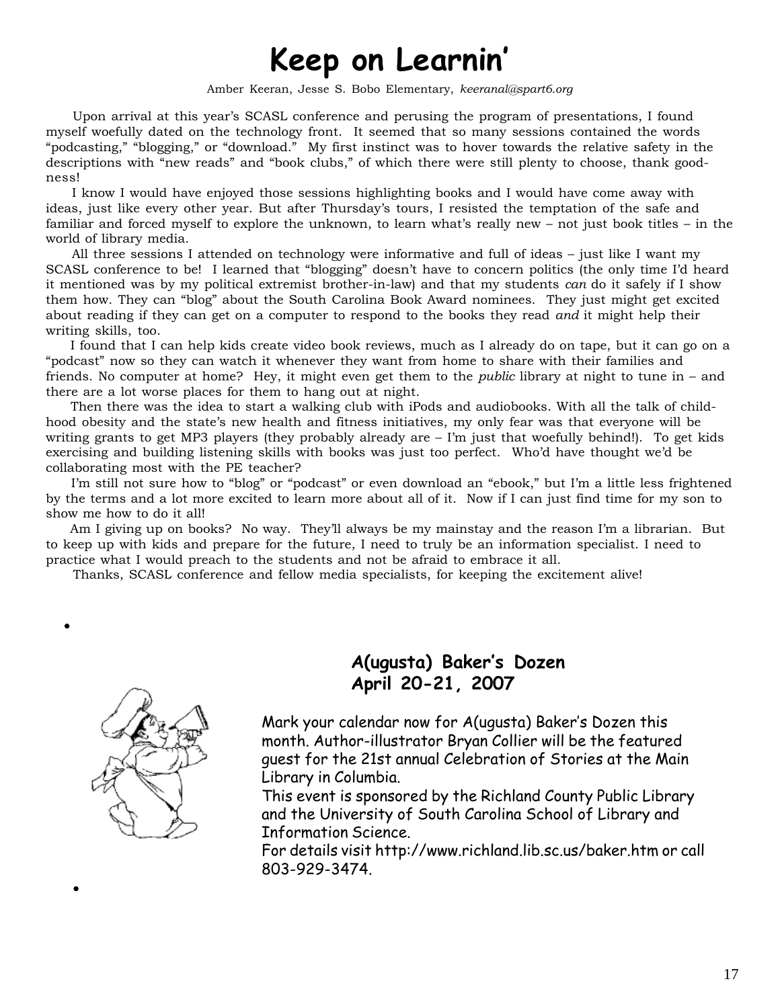# **Keep on Learnin'**

Amber Keeran, Jesse S. Bobo Elementary, *keeranal@spart6.org*

 Upon arrival at this year's SCASL conference and perusing the program of presentations, I found myself woefully dated on the technology front. It seemed that so many sessions contained the words "podcasting," "blogging," or "download." My first instinct was to hover towards the relative safety in the descriptions with "new reads" and "book clubs," of which there were still plenty to choose, thank goodness!

 I know I would have enjoyed those sessions highlighting books and I would have come away with ideas, just like every other year. But after Thursday's tours, I resisted the temptation of the safe and familiar and forced myself to explore the unknown, to learn what's really new – not just book titles – in the world of library media.

 All three sessions I attended on technology were informative and full of ideas – just like I want my SCASL conference to be! I learned that "blogging" doesn't have to concern politics (the only time I'd heard it mentioned was by my political extremist brother-in-law) and that my students *can* do it safely if I show them how. They can "blog" about the South Carolina Book Award nominees. They just might get excited about reading if they can get on a computer to respond to the books they read *and* it might help their writing skills, too.

 I found that I can help kids create video book reviews, much as I already do on tape, but it can go on a "podcast" now so they can watch it whenever they want from home to share with their families and friends. No computer at home? Hey, it might even get them to the *public* library at night to tune in – and there are a lot worse places for them to hang out at night.

 Then there was the idea to start a walking club with iPods and audiobooks. With all the talk of childhood obesity and the state's new health and fitness initiatives, my only fear was that everyone will be writing grants to get MP3 players (they probably already are – I'm just that woefully behind!). To get kids exercising and building listening skills with books was just too perfect. Who'd have thought we'd be collaborating most with the PE teacher?

 I'm still not sure how to "blog" or "podcast" or even download an "ebook," but I'm a little less frightened by the terms and a lot more excited to learn more about all of it. Now if I can just find time for my son to show me how to do it all!

 Am I giving up on books? No way. They'll always be my mainstay and the reason I'm a librarian. But to keep up with kids and prepare for the future, I need to truly be an information specialist. I need to practice what I would preach to the students and not be afraid to embrace it all.

Thanks, SCASL conference and fellow media specialists, for keeping the excitement alive!



# **A(ugusta) Baker's Dozen April 20-21, 2007**

Mark your calendar now for A(ugusta) Baker's Dozen this month. Author-illustrator Bryan Collier will be the featured guest for the 21st annual Celebration of Stories at the Main Library in Columbia.

This event is sponsored by the Richland County Public Library and the University of South Carolina School of Library and Information Science.

For details visit http://www.richland.lib.sc.us/baker.htm or call 803-929-3474.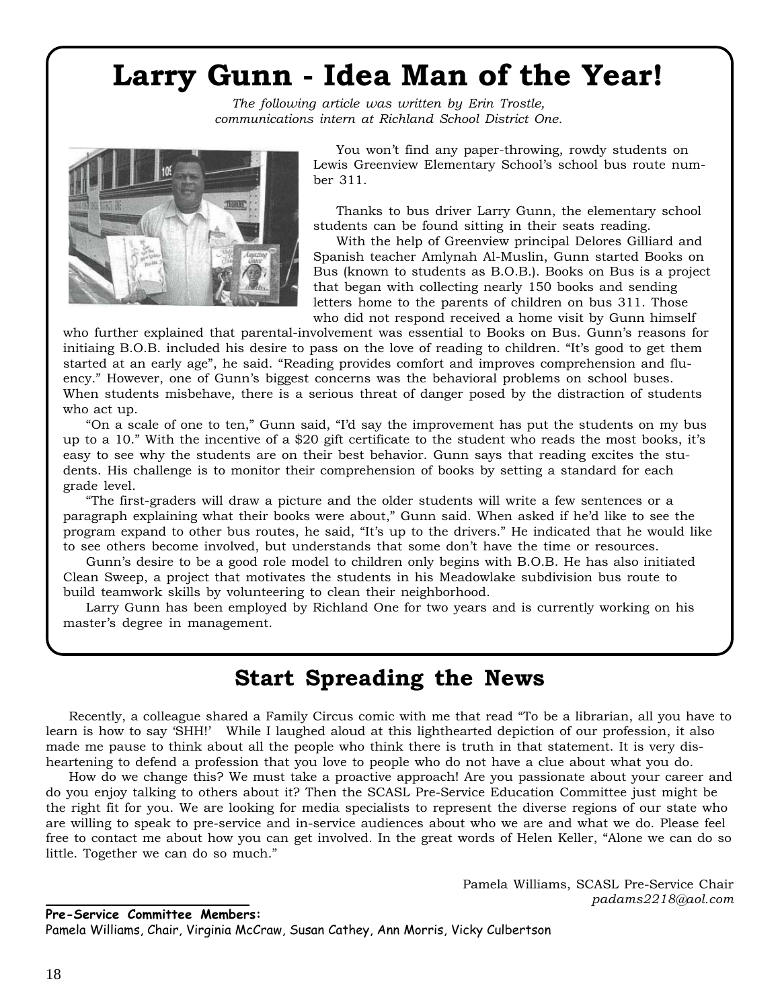# **Larry Gunn - Idea Man of the Year!**

*The following article was written by Erin Trostle, communications intern at Richland School District One.*



You won't find any paper-throwing, rowdy students on Lewis Greenview Elementary School's school bus route number 311.

Thanks to bus driver Larry Gunn, the elementary school students can be found sitting in their seats reading.

With the help of Greenview principal Delores Gilliard and Spanish teacher Amlynah Al-Muslin, Gunn started Books on Bus (known to students as B.O.B.). Books on Bus is a project that began with collecting nearly 150 books and sending letters home to the parents of children on bus 311. Those who did not respond received a home visit by Gunn himself

who further explained that parental-involvement was essential to Books on Bus. Gunn's reasons for initiaing B.O.B. included his desire to pass on the love of reading to children. "It's good to get them started at an early age", he said. "Reading provides comfort and improves comprehension and fluency." However, one of Gunn's biggest concerns was the behavioral problems on school buses. When students misbehave, there is a serious threat of danger posed by the distraction of students who act up.

"On a scale of one to ten," Gunn said, "I'd say the improvement has put the students on my bus up to a 10." With the incentive of a \$20 gift certificate to the student who reads the most books, it's easy to see why the students are on their best behavior. Gunn says that reading excites the students. His challenge is to monitor their comprehension of books by setting a standard for each grade level.

"The first-graders will draw a picture and the older students will write a few sentences or a paragraph explaining what their books were about," Gunn said. When asked if he'd like to see the program expand to other bus routes, he said, "It's up to the drivers." He indicated that he would like to see others become involved, but understands that some don't have the time or resources.

Gunn's desire to be a good role model to children only begins with B.O.B. He has also initiated Clean Sweep, a project that motivates the students in his Meadowlake subdivision bus route to build teamwork skills by volunteering to clean their neighborhood.

Larry Gunn has been employed by Richland One for two years and is currently working on his master's degree in management.

# **Start Spreading the News**

Recently, a colleague shared a Family Circus comic with me that read "To be a librarian, all you have to learn is how to say 'SHH!' While I laughed aloud at this lighthearted depiction of our profession, it also made me pause to think about all the people who think there is truth in that statement. It is very disheartening to defend a profession that you love to people who do not have a clue about what you do.

How do we change this? We must take a proactive approach! Are you passionate about your career and do you enjoy talking to others about it? Then the SCASL Pre-Service Education Committee just might be the right fit for you. We are looking for media specialists to represent the diverse regions of our state who are willing to speak to pre-service and in-service audiences about who we are and what we do. Please feel free to contact me about how you can get involved. In the great words of Helen Keller, "Alone we can do so little. Together we can do so much."

> Pamela Williams, SCASL Pre-Service Chair *padams2218@aol.com*

#### **Pre-Service Committee Members:**

Pamela Williams, Chair, Virginia McCraw, Susan Cathey, Ann Morris, Vicky Culbertson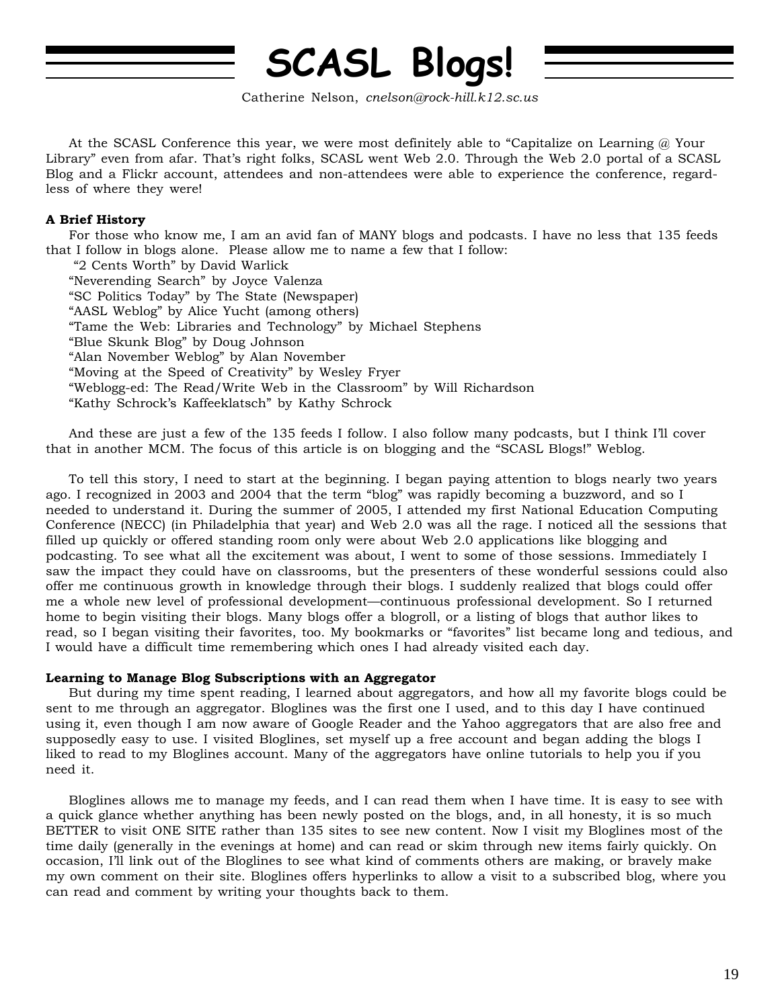# **SCASL Blogs!**

Catherine Nelson, *cnelson@rock-hill.k12.sc.us*

At the SCASL Conference this year, we were most definitely able to "Capitalize on Learning @ Your Library" even from afar. That's right folks, SCASL went Web 2.0. Through the Web 2.0 portal of a SCASL Blog and a Flickr account, attendees and non-attendees were able to experience the conference, regardless of where they were!

## **A Brief History**

For those who know me, I am an avid fan of MANY blogs and podcasts. I have no less that 135 feeds that I follow in blogs alone. Please allow me to name a few that I follow:

 "2 Cents Worth" by David Warlick "Neverending Search" by Joyce Valenza "SC Politics Today" by The State (Newspaper) "AASL Weblog" by Alice Yucht (among others) "Tame the Web: Libraries and Technology" by Michael Stephens "Blue Skunk Blog" by Doug Johnson "Alan November Weblog" by Alan November "Moving at the Speed of Creativity" by Wesley Fryer "Weblogg-ed: The Read/Write Web in the Classroom" by Will Richardson "Kathy Schrock's Kaffeeklatsch" by Kathy Schrock

And these are just a few of the 135 feeds I follow. I also follow many podcasts, but I think I'll cover that in another MCM. The focus of this article is on blogging and the "SCASL Blogs!" Weblog.

To tell this story, I need to start at the beginning. I began paying attention to blogs nearly two years ago. I recognized in 2003 and 2004 that the term "blog" was rapidly becoming a buzzword, and so I needed to understand it. During the summer of 2005, I attended my first National Education Computing Conference (NECC) (in Philadelphia that year) and Web 2.0 was all the rage. I noticed all the sessions that filled up quickly or offered standing room only were about Web 2.0 applications like blogging and podcasting. To see what all the excitement was about, I went to some of those sessions. Immediately I saw the impact they could have on classrooms, but the presenters of these wonderful sessions could also offer me continuous growth in knowledge through their blogs. I suddenly realized that blogs could offer me a whole new level of professional development—continuous professional development. So I returned home to begin visiting their blogs. Many blogs offer a blogroll, or a listing of blogs that author likes to read, so I began visiting their favorites, too. My bookmarks or "favorites" list became long and tedious, and I would have a difficult time remembering which ones I had already visited each day.

### **Learning to Manage Blog Subscriptions with an Aggregator**

But during my time spent reading, I learned about aggregators, and how all my favorite blogs could be sent to me through an aggregator. Bloglines was the first one I used, and to this day I have continued using it, even though I am now aware of Google Reader and the Yahoo aggregators that are also free and supposedly easy to use. I visited Bloglines, set myself up a free account and began adding the blogs I liked to read to my Bloglines account. Many of the aggregators have online tutorials to help you if you need it.

Bloglines allows me to manage my feeds, and I can read them when I have time. It is easy to see with a quick glance whether anything has been newly posted on the blogs, and, in all honesty, it is so much BETTER to visit ONE SITE rather than 135 sites to see new content. Now I visit my Bloglines most of the time daily (generally in the evenings at home) and can read or skim through new items fairly quickly. On occasion, I'll link out of the Bloglines to see what kind of comments others are making, or bravely make my own comment on their site. Bloglines offers hyperlinks to allow a visit to a subscribed blog, where you can read and comment by writing your thoughts back to them.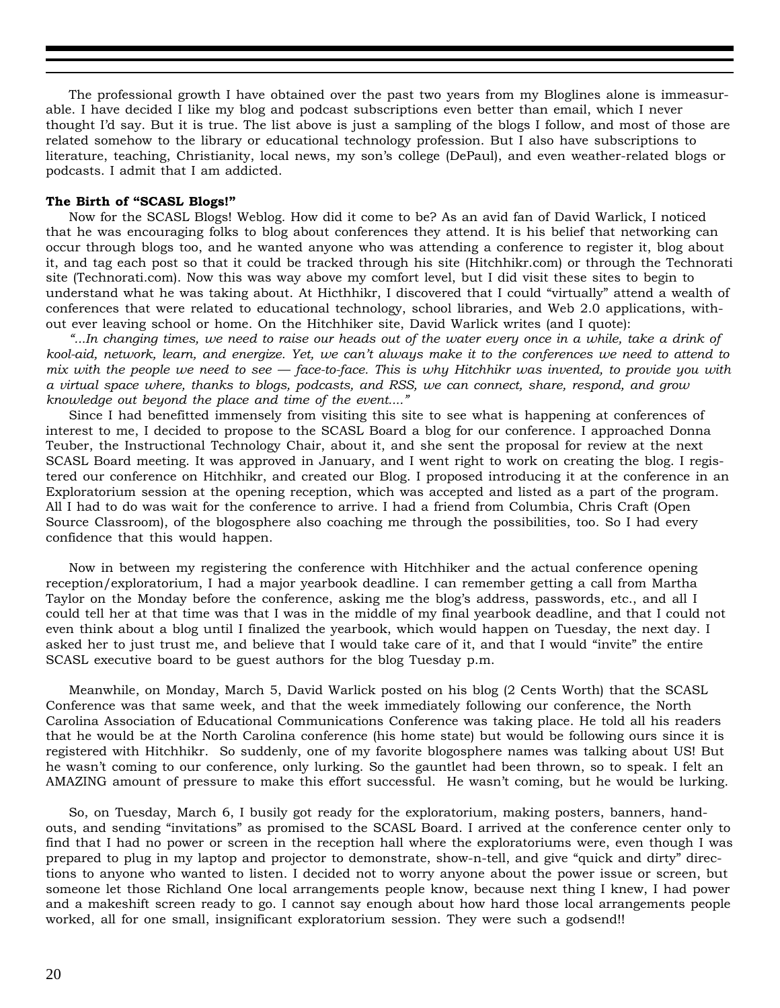The professional growth I have obtained over the past two years from my Bloglines alone is immeasurable. I have decided I like my blog and podcast subscriptions even better than email, which I never thought I'd say. But it is true. The list above is just a sampling of the blogs I follow, and most of those are related somehow to the library or educational technology profession. But I also have subscriptions to literature, teaching, Christianity, local news, my son's college (DePaul), and even weather-related blogs or podcasts. I admit that I am addicted.

#### **The Birth of "SCASL Blogs!"**

Now for the SCASL Blogs! Weblog. How did it come to be? As an avid fan of David Warlick, I noticed that he was encouraging folks to blog about conferences they attend. It is his belief that networking can occur through blogs too, and he wanted anyone who was attending a conference to register it, blog about it, and tag each post so that it could be tracked through his site (Hitchhikr.com) or through the Technorati site (Technorati.com). Now this was way above my comfort level, but I did visit these sites to begin to understand what he was taking about. At Hicthhikr, I discovered that I could "virtually" attend a wealth of conferences that were related to educational technology, school libraries, and Web 2.0 applications, without ever leaving school or home. On the Hitchhiker site, David Warlick writes (and I quote):

*"...In changing times, we need to raise our heads out of the water every once in a while, take a drink of kool-aid, network, learn, and energize. Yet, we can't always make it to the conferences we need to attend to mix with the people we need to see — face-to-face. This is why Hitchhikr was invented, to provide you with a virtual space where, thanks to blogs, podcasts, and RSS, we can connect, share, respond, and grow knowledge out beyond the place and time of the event...."*

Since I had benefitted immensely from visiting this site to see what is happening at conferences of interest to me, I decided to propose to the SCASL Board a blog for our conference. I approached Donna Teuber, the Instructional Technology Chair, about it, and she sent the proposal for review at the next SCASL Board meeting. It was approved in January, and I went right to work on creating the blog. I registered our conference on Hitchhikr, and created our Blog. I proposed introducing it at the conference in an Exploratorium session at the opening reception, which was accepted and listed as a part of the program. All I had to do was wait for the conference to arrive. I had a friend from Columbia, Chris Craft (Open Source Classroom), of the blogosphere also coaching me through the possibilities, too. So I had every confidence that this would happen.

Now in between my registering the conference with Hitchhiker and the actual conference opening reception/exploratorium, I had a major yearbook deadline. I can remember getting a call from Martha Taylor on the Monday before the conference, asking me the blog's address, passwords, etc., and all I could tell her at that time was that I was in the middle of my final yearbook deadline, and that I could not even think about a blog until I finalized the yearbook, which would happen on Tuesday, the next day. I asked her to just trust me, and believe that I would take care of it, and that I would "invite" the entire SCASL executive board to be guest authors for the blog Tuesday p.m.

Meanwhile, on Monday, March 5, David Warlick posted on his blog (2 Cents Worth) that the SCASL Conference was that same week, and that the week immediately following our conference, the North Carolina Association of Educational Communications Conference was taking place. He told all his readers that he would be at the North Carolina conference (his home state) but would be following ours since it is registered with Hitchhikr. So suddenly, one of my favorite blogosphere names was talking about US! But he wasn't coming to our conference, only lurking. So the gauntlet had been thrown, so to speak. I felt an AMAZING amount of pressure to make this effort successful. He wasn't coming, but he would be lurking.

So, on Tuesday, March 6, I busily got ready for the exploratorium, making posters, banners, handouts, and sending "invitations" as promised to the SCASL Board. I arrived at the conference center only to find that I had no power or screen in the reception hall where the exploratoriums were, even though I was prepared to plug in my laptop and projector to demonstrate, show-n-tell, and give "quick and dirty" directions to anyone who wanted to listen. I decided not to worry anyone about the power issue or screen, but someone let those Richland One local arrangements people know, because next thing I knew, I had power and a makeshift screen ready to go. I cannot say enough about how hard those local arrangements people worked, all for one small, insignificant exploratorium session. They were such a godsend!!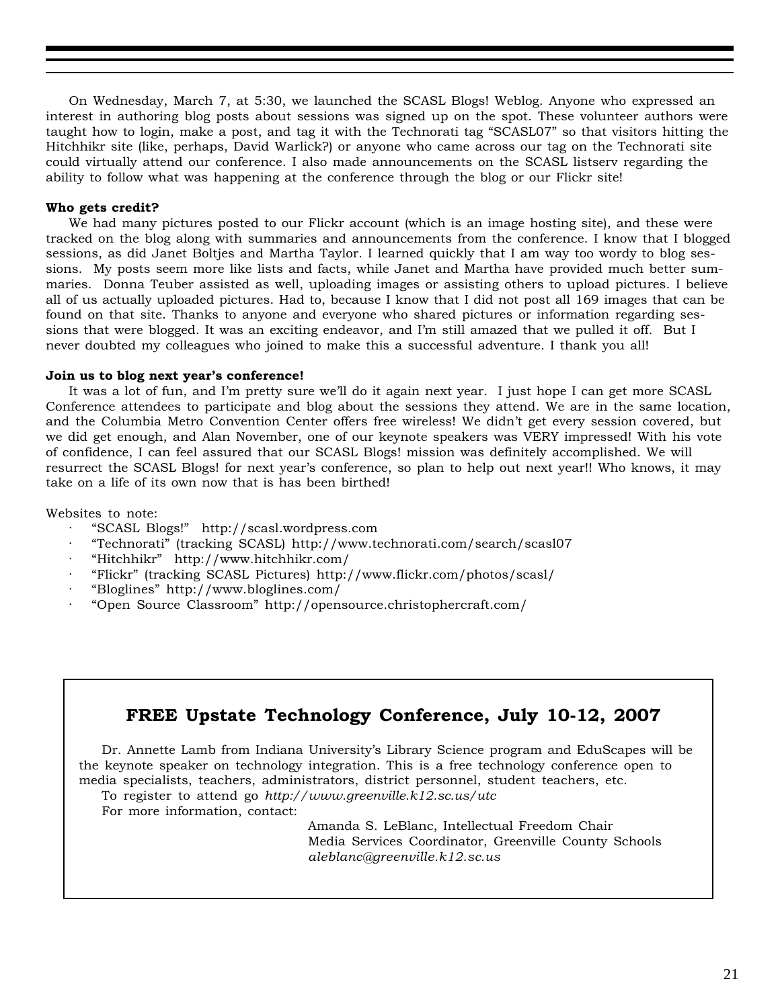On Wednesday, March 7, at 5:30, we launched the SCASL Blogs! Weblog. Anyone who expressed an interest in authoring blog posts about sessions was signed up on the spot. These volunteer authors were taught how to login, make a post, and tag it with the Technorati tag "SCASL07" so that visitors hitting the Hitchhikr site (like, perhaps, David Warlick?) or anyone who came across our tag on the Technorati site could virtually attend our conference. I also made announcements on the SCASL listserv regarding the ability to follow what was happening at the conference through the blog or our Flickr site!

#### **Who gets credit?**

We had many pictures posted to our Flickr account (which is an image hosting site), and these were tracked on the blog along with summaries and announcements from the conference. I know that I blogged sessions, as did Janet Boltjes and Martha Taylor. I learned quickly that I am way too wordy to blog sessions. My posts seem more like lists and facts, while Janet and Martha have provided much better summaries. Donna Teuber assisted as well, uploading images or assisting others to upload pictures. I believe all of us actually uploaded pictures. Had to, because I know that I did not post all 169 images that can be found on that site. Thanks to anyone and everyone who shared pictures or information regarding sessions that were blogged. It was an exciting endeavor, and I'm still amazed that we pulled it off. But I never doubted my colleagues who joined to make this a successful adventure. I thank you all!

#### **Join us to blog next year's conference!**

It was a lot of fun, and I'm pretty sure we'll do it again next year. I just hope I can get more SCASL Conference attendees to participate and blog about the sessions they attend. We are in the same location, and the Columbia Metro Convention Center offers free wireless! We didn't get every session covered, but we did get enough, and Alan November, one of our keynote speakers was VERY impressed! With his vote of confidence, I can feel assured that our SCASL Blogs! mission was definitely accomplished. We will resurrect the SCASL Blogs! for next year's conference, so plan to help out next year!! Who knows, it may take on a life of its own now that is has been birthed!

Websites to note:

- · "SCASL Blogs!" http://scasl.wordpress.com
- · "Technorati" (tracking SCASL) http://www.technorati.com/search/scasl07
- · "Hitchhikr" http://www.hitchhikr.com/
- · "Flickr" (tracking SCASL Pictures) http://www.flickr.com/photos/scasl/
- · "Bloglines" http://www.bloglines.com/
- · "Open Source Classroom" http://opensource.christophercraft.com/

# **FREE Upstate Technology Conference, July 10-12, 2007**

Dr. Annette Lamb from Indiana University's Library Science program and EduScapes will be the keynote speaker on technology integration. This is a free technology conference open to media specialists, teachers, administrators, district personnel, student teachers, etc.

To register to attend go *http://www.greenville.k12.sc.us/utc*

For more information, contact:

Amanda S. LeBlanc, Intellectual Freedom Chair Media Services Coordinator, Greenville County Schools *aleblanc@greenville.k12.sc.us*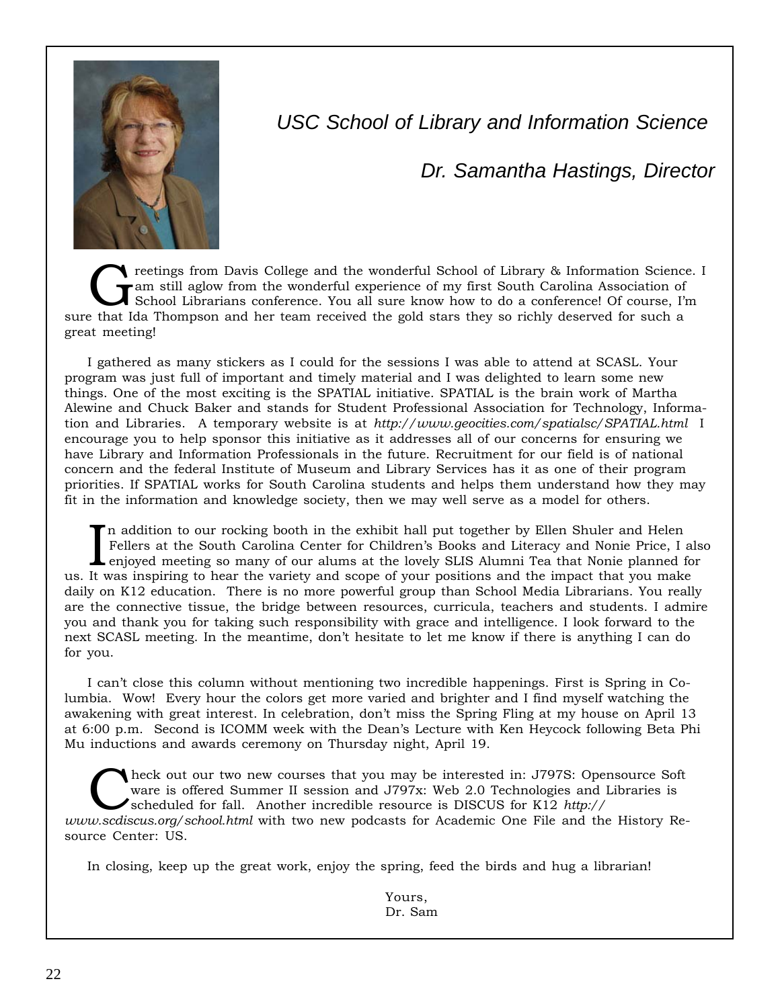

*USC School of Library and Information Science*

*Dr. Samantha Hastings, Director*

The rectings from Davis College and the wonderful School of Library & Information Science. IT am still aglow from the wonderful experience of my first South Carolina Association of School Librarians conference. You all sur am still aglow from the wonderful experience of my first South Carolina Association of sure that Ida Thompson and her team received the gold stars they so richly deserved for such a great meeting!

I gathered as many stickers as I could for the sessions I was able to attend at SCASL. Your program was just full of important and timely material and I was delighted to learn some new things. One of the most exciting is the SPATIAL initiative. SPATIAL is the brain work of Martha Alewine and Chuck Baker and stands for Student Professional Association for Technology, Information and Libraries. A temporary website is at *http://www.geocities.com/spatialsc/SPATIAL.html* I encourage you to help sponsor this initiative as it addresses all of our concerns for ensuring we have Library and Information Professionals in the future. Recruitment for our field is of national concern and the federal Institute of Museum and Library Services has it as one of their program priorities. If SPATIAL works for South Carolina students and helps them understand how they may fit in the information and knowledge society, then we may well serve as a model for others.

In addition to our rocking booth in the exhibit hall put together by Ellen Shuler and Helen Fellers at the South Carolina Center for Children's Books and Literacy and Nonie Price, I at enjoyed meeting so many of our alums n addition to our rocking booth in the exhibit hall put together by Ellen Shuler and Helen Fellers at the South Carolina Center for Children's Books and Literacy and Nonie Price, I also enjoyed meeting so many of our alums at the lovely SLIS Alumni Tea that Nonie planned for daily on K12 education. There is no more powerful group than School Media Librarians. You really are the connective tissue, the bridge between resources, curricula, teachers and students. I admire you and thank you for taking such responsibility with grace and intelligence. I look forward to the next SCASL meeting. In the meantime, don't hesitate to let me know if there is anything I can do for you.

I can't close this column without mentioning two incredible happenings. First is Spring in Columbia. Wow! Every hour the colors get more varied and brighter and I find myself watching the awakening with great interest. In celebration, don't miss the Spring Fling at my house on April 13 at 6:00 p.m. Second is ICOMM week with the Dean's Lecture with Ken Heycock following Beta Phi Mu inductions and awards ceremony on Thursday night, April 19.

heck out our two new courses that you may be interested in: J797S: Opensource Soft ware is offered Summer II session and J797x: Web 2.0 Technologies and Libraries is scheduled for fall. Another incredible resource is DISCUS for K12 *http:// www.scdiscus.org/school.html* with two new podcasts for Academic One File and the History Resource Center: US.

In closing, keep up the great work, enjoy the spring, feed the birds and hug a librarian!

Yours, Dr. Sam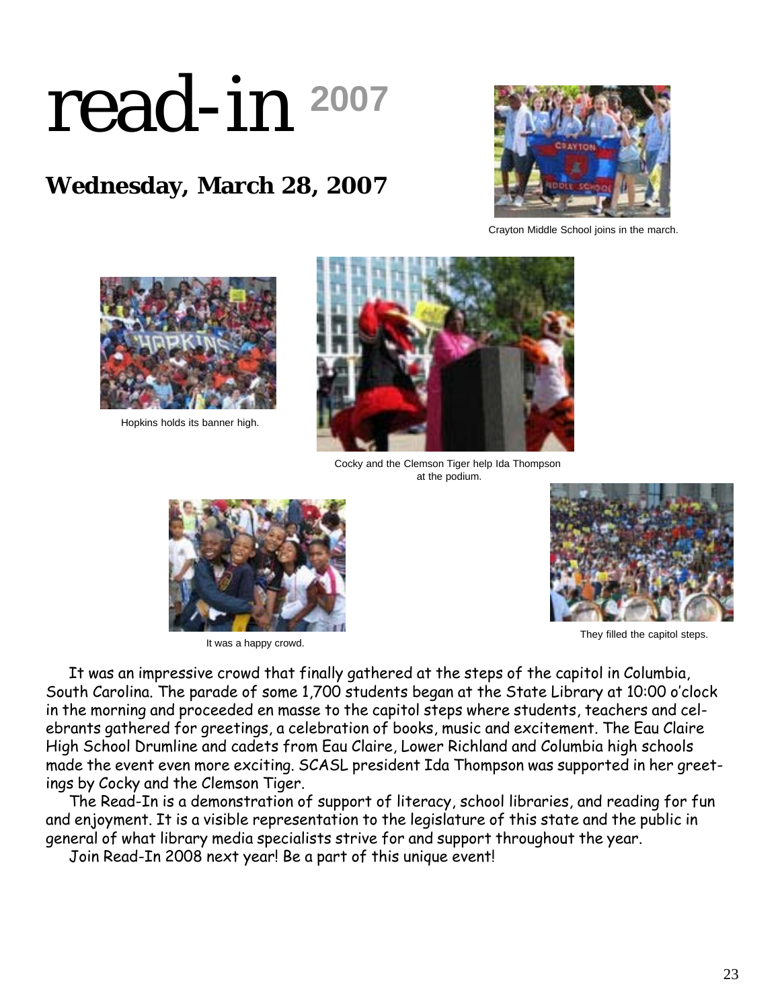# read-in **<sup>2007</sup>**

# **Wednesday, March 28, 2007**



Crayton Middle School joins in the march.



Hopkins holds its banner high.



Cocky and the Clemson Tiger help Ida Thompson at the podium.





It was a happy crowd. They filled the capitol steps.

It was an impressive crowd that finally gathered at the steps of the capitol in Columbia, South Carolina. The parade of some 1,700 students began at the State Library at 10:00 o'clock in the morning and proceeded en masse to the capitol steps where students, teachers and celebrants gathered for greetings, a celebration of books, music and excitement. The Eau Claire High School Drumline and cadets from Eau Claire, Lower Richland and Columbia high schools made the event even more exciting. SCASL president Ida Thompson was supported in her greetings by Cocky and the Clemson Tiger.

The Read-In is a demonstration of support of literacy, school libraries, and reading for fun and enjoyment. It is a visible representation to the legislature of this state and the public in general of what library media specialists strive for and support throughout the year.

Join Read-In 2008 next year! Be a part of this unique event!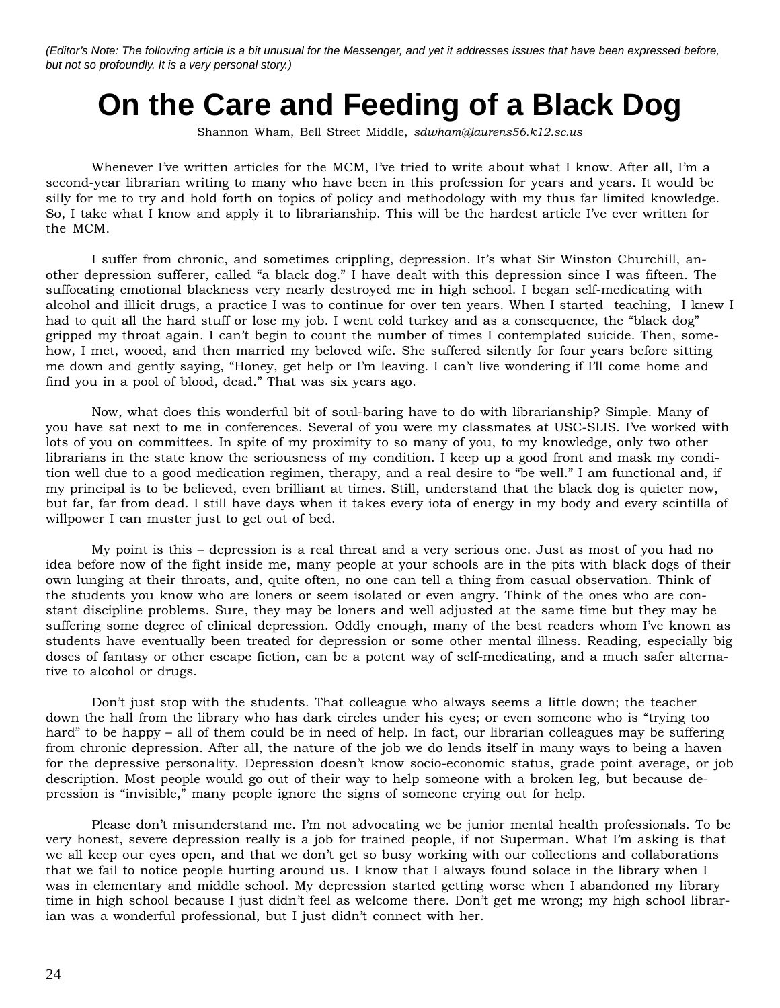*(Editor's Note: The following article is a bit unusual for the Messenger, and yet it addresses issues that have been expressed before, but not so profoundly. It is a very personal story.)*

# **On the Care and Feeding of a Black Dog**

Shannon Wham, Bell Street Middle, *sdwham@laurens56.k12.sc.us*

Whenever I've written articles for the MCM, I've tried to write about what I know. After all, I'm a second-year librarian writing to many who have been in this profession for years and years. It would be silly for me to try and hold forth on topics of policy and methodology with my thus far limited knowledge. So, I take what I know and apply it to librarianship. This will be the hardest article I've ever written for the MCM.

I suffer from chronic, and sometimes crippling, depression. It's what Sir Winston Churchill, another depression sufferer, called "a black dog." I have dealt with this depression since I was fifteen. The suffocating emotional blackness very nearly destroyed me in high school. I began self-medicating with alcohol and illicit drugs, a practice I was to continue for over ten years. When I started teaching, I knew I had to quit all the hard stuff or lose my job. I went cold turkey and as a consequence, the "black dog" gripped my throat again. I can't begin to count the number of times I contemplated suicide. Then, somehow, I met, wooed, and then married my beloved wife. She suffered silently for four years before sitting me down and gently saying, "Honey, get help or I'm leaving. I can't live wondering if I'll come home and find you in a pool of blood, dead." That was six years ago.

Now, what does this wonderful bit of soul-baring have to do with librarianship? Simple. Many of you have sat next to me in conferences. Several of you were my classmates at USC-SLIS. I've worked with lots of you on committees. In spite of my proximity to so many of you, to my knowledge, only two other librarians in the state know the seriousness of my condition. I keep up a good front and mask my condition well due to a good medication regimen, therapy, and a real desire to "be well." I am functional and, if my principal is to be believed, even brilliant at times. Still, understand that the black dog is quieter now, but far, far from dead. I still have days when it takes every iota of energy in my body and every scintilla of willpower I can muster just to get out of bed.

My point is this – depression is a real threat and a very serious one. Just as most of you had no idea before now of the fight inside me, many people at your schools are in the pits with black dogs of their own lunging at their throats, and, quite often, no one can tell a thing from casual observation. Think of the students you know who are loners or seem isolated or even angry. Think of the ones who are constant discipline problems. Sure, they may be loners and well adjusted at the same time but they may be suffering some degree of clinical depression. Oddly enough, many of the best readers whom I've known as students have eventually been treated for depression or some other mental illness. Reading, especially big doses of fantasy or other escape fiction, can be a potent way of self-medicating, and a much safer alternative to alcohol or drugs.

Don't just stop with the students. That colleague who always seems a little down; the teacher down the hall from the library who has dark circles under his eyes; or even someone who is "trying too hard" to be happy – all of them could be in need of help. In fact, our librarian colleagues may be suffering from chronic depression. After all, the nature of the job we do lends itself in many ways to being a haven for the depressive personality. Depression doesn't know socio-economic status, grade point average, or job description. Most people would go out of their way to help someone with a broken leg, but because depression is "invisible," many people ignore the signs of someone crying out for help.

Please don't misunderstand me. I'm not advocating we be junior mental health professionals. To be very honest, severe depression really is a job for trained people, if not Superman. What I'm asking is that we all keep our eyes open, and that we don't get so busy working with our collections and collaborations that we fail to notice people hurting around us. I know that I always found solace in the library when I was in elementary and middle school. My depression started getting worse when I abandoned my library time in high school because I just didn't feel as welcome there. Don't get me wrong; my high school librarian was a wonderful professional, but I just didn't connect with her.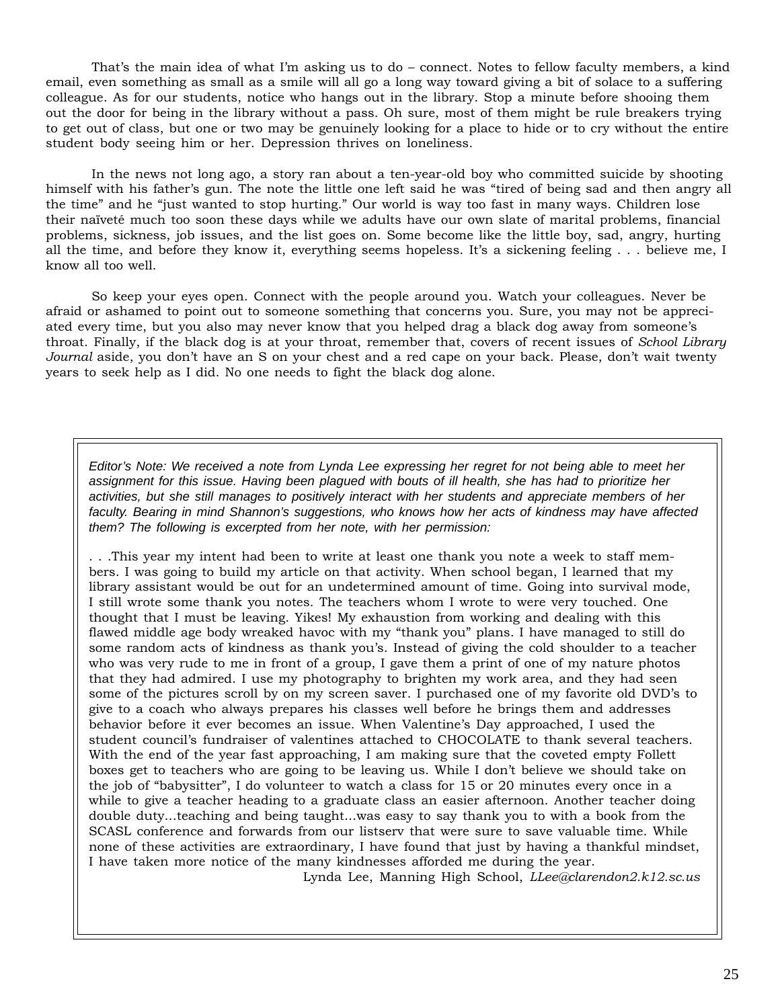That's the main idea of what I'm asking us to do – connect. Notes to fellow faculty members, a kind email, even something as small as a smile will all go a long way toward giving a bit of solace to a suffering colleague. As for our students, notice who hangs out in the library. Stop a minute before shooing them out the door for being in the library without a pass. Oh sure, most of them might be rule breakers trying to get out of class, but one or two may be genuinely looking for a place to hide or to cry without the entire student body seeing him or her. Depression thrives on loneliness.

In the news not long ago, a story ran about a ten-year-old boy who committed suicide by shooting himself with his father's gun. The note the little one left said he was "tired of being sad and then angry all the time" and he "just wanted to stop hurting." Our world is way too fast in many ways. Children lose their naïveté much too soon these days while we adults have our own slate of marital problems, financial problems, sickness, job issues, and the list goes on. Some become like the little boy, sad, angry, hurting all the time, and before they know it, everything seems hopeless. It's a sickening feeling . . . believe me, I know all too well.

So keep your eyes open. Connect with the people around you. Watch your colleagues. Never be afraid or ashamed to point out to someone something that concerns you. Sure, you may not be appreciated every time, but you also may never know that you helped drag a black dog away from someone's throat. Finally, if the black dog is at your throat, remember that, covers of recent issues of *School Library Journal* aside, you don't have an S on your chest and a red cape on your back. Please, don't wait twenty years to seek help as I did. No one needs to fight the black dog alone.

*Editor's Note: We received a note from Lynda Lee expressing her regret for not being able to meet her assignment for this issue. Having been plagued with bouts of ill health, she has had to prioritize her activities, but she still manages to positively interact with her students and appreciate members of her faculty. Bearing in mind Shannon's suggestions, who knows how her acts of kindness may have affected them? The following is excerpted from her note, with her permission:*

. . .This year my intent had been to write at least one thank you note a week to staff members. I was going to build my article on that activity. When school began, I learned that my library assistant would be out for an undetermined amount of time. Going into survival mode, I still wrote some thank you notes. The teachers whom I wrote to were very touched. One thought that I must be leaving. Yikes! My exhaustion from working and dealing with this flawed middle age body wreaked havoc with my "thank you" plans. I have managed to still do some random acts of kindness as thank you's. Instead of giving the cold shoulder to a teacher who was very rude to me in front of a group, I gave them a print of one of my nature photos that they had admired. I use my photography to brighten my work area, and they had seen some of the pictures scroll by on my screen saver. I purchased one of my favorite old DVD's to give to a coach who always prepares his classes well before he brings them and addresses behavior before it ever becomes an issue. When Valentine's Day approached, I used the student council's fundraiser of valentines attached to CHOCOLATE to thank several teachers. With the end of the year fast approaching, I am making sure that the coveted empty Follett boxes get to teachers who are going to be leaving us. While I don't believe we should take on the job of "babysitter", I do volunteer to watch a class for 15 or 20 minutes every once in a while to give a teacher heading to a graduate class an easier afternoon. Another teacher doing double duty...teaching and being taught...was easy to say thank you to with a book from the SCASL conference and forwards from our listserv that were sure to save valuable time. While none of these activities are extraordinary, I have found that just by having a thankful mindset, I have taken more notice of the many kindnesses afforded me during the year.

Lynda Lee, Manning High School, *LLee@clarendon2.k12.sc.us*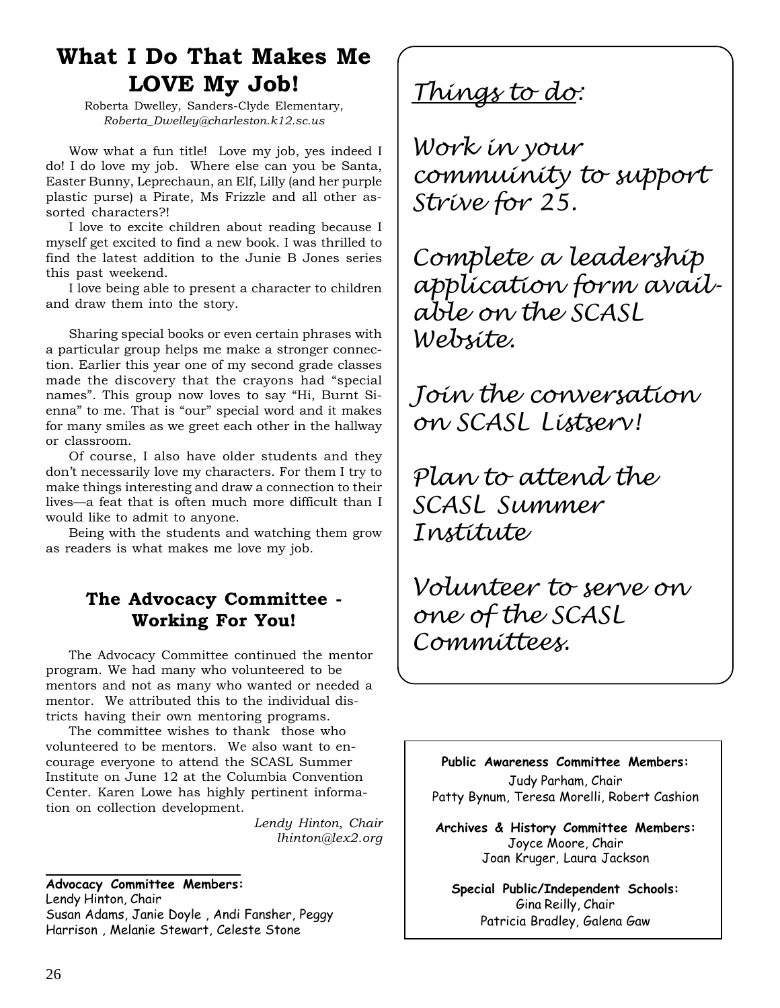# **What I Do That Makes Me LOVE My Job!**

Roberta Dwelley, Sanders-Clyde Elementary, *Roberta\_Dwelley@charleston.k12.sc.us*

Wow what a fun title! Love my job, yes indeed I do! I do love my job. Where else can you be Santa, Easter Bunny, Leprechaun, an Elf, Lilly (and her purple plastic purse) a Pirate, Ms Frizzle and all other assorted characters?!

I love to excite children about reading because I myself get excited to find a new book. I was thrilled to find the latest addition to the Junie B Jones series this past weekend.

I love being able to present a character to children and draw them into the story.

Sharing special books or even certain phrases with a particular group helps me make a stronger connection. Earlier this year one of my second grade classes made the discovery that the crayons had "special names". This group now loves to say "Hi, Burnt Sienna" to me. That is "our" special word and it makes for many smiles as we greet each other in the hallway or classroom.

Of course, I also have older students and they don't necessarily love my characters. For them I try to make things interesting and draw a connection to their lives—a feat that is often much more difficult than I would like to admit to anyone.

Being with the students and watching them grow as readers is what makes me love my job.

# **The Advocacy Committee - Working For You!**

The Advocacy Committee continued the mentor program. We had many who volunteered to be mentors and not as many who wanted or needed a mentor. We attributed this to the individual districts having their own mentoring programs.

The committee wishes to thank those who volunteered to be mentors. We also want to encourage everyone to attend the SCASL Summer Institute on June 12 at the Columbia Convention Center. Karen Lowe has highly pertinent information on collection development.

> *Lendy Hinton, Chair lhinton@lex2.org*

**Advocacy Committee Members:** Lendy Hinton, Chair Susan Adams, Janie Doyle , Andi Fansher, Peggy Harrison , Melanie Stewart, Celeste Stone

*Things to do:*

*Work in your commuinity to support Strive for 25.*

*Complete a leadership application form available on the SCASL Website.*

*Join the conversation on SCASL Listserv!*

*Plan to attend the SCASL Summer Institute*

*Volunteer to serve on one of the SCASL Committees.*

**Public Awareness Committee Members:** Judy Parham, Chair Patty Bynum, Teresa Morelli, Robert Cashion

**Archives & History Committee Members:** Joyce Moore, Chair Joan Kruger, Laura Jackson

**Special Public/Independent Schools:** Gina Reilly, Chair Patricia Bradley, Galena Gaw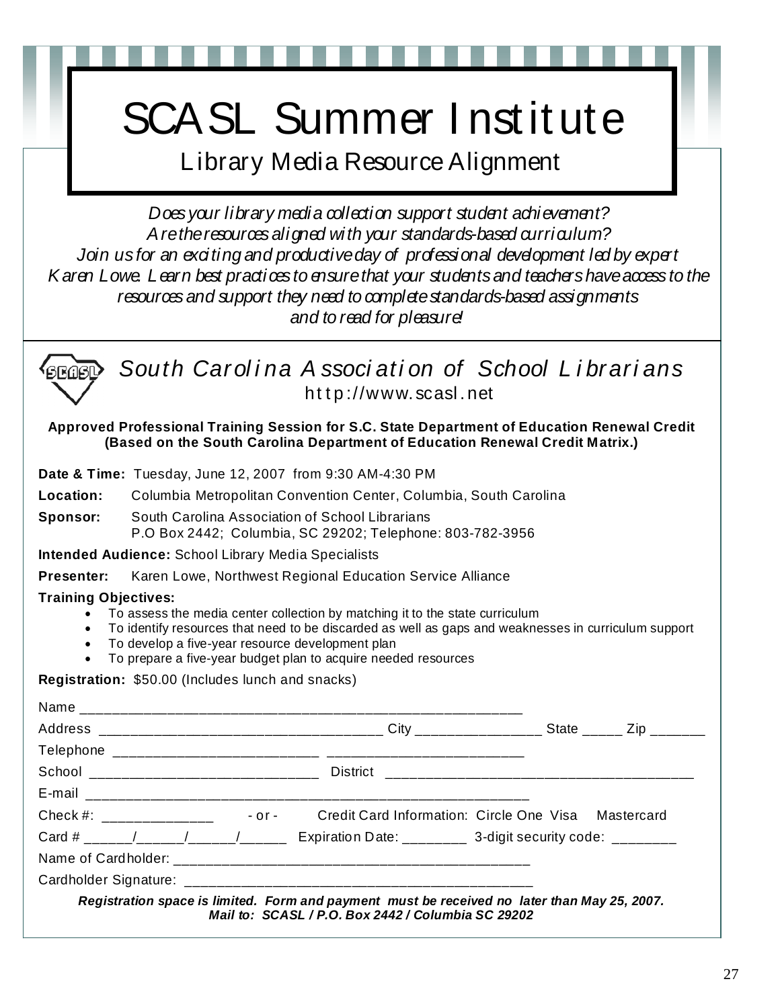# SCASL Summer I nstitute

Library Media Resource Alignment

*Does your library media collection support student achievement? Are the resources aligned with your standards-based curriculum? Join us for an exciting and productive day of professional development led by expert Karen Lowe. Learn best practices to ensure that your students and teachers have access to the resources and support they need to complete standards-based assignments and to read for pleasure!* 



*South Carol i na A ssoci ati on of School L i brari ans*  http://www.scasl.net

**Approved Professional Training Session for S.C. State Department of Education Renewal Credit (Based on the South Carolina Department of Education Renewal Credit Matrix.)** 

**Date & Time:** Tuesday, June 12, 2007 from 9:30 AM-4:30 PM

**Location:** Columbia Metropolitan Convention Center, Columbia, South Carolina

**Sponsor:** South Carolina Association of School Librarians P.O Box 2442; Columbia, SC 29202; Telephone: 803-782-3956

**Intended Audience:** School Library Media Specialists

**Presenter:** Karen Lowe, Northwest Regional Education Service Alliance

# **Training Objectives:**

• To assess the media center collection by matching it to the state curriculum

- To identify resources that need to be discarded as well as gaps and weaknesses in curriculum support
- To develop a five-year resource development plan
- To prepare a five-year budget plan to acquire needed resources

**Registration:** \$50.00 (Includes lunch and snacks)

| Card # _____/_____/____/_____ Expiration Date: ________ 3-digit security code: _______ |                                                                                                                                                    |  |  |
|----------------------------------------------------------------------------------------|----------------------------------------------------------------------------------------------------------------------------------------------------|--|--|
|                                                                                        |                                                                                                                                                    |  |  |
|                                                                                        |                                                                                                                                                    |  |  |
|                                                                                        | Registration space is limited. Form and payment must be received no later than May 25, 2007.<br>Mail to: SCASL / P.O. Box 2442 / Columbia SC 29202 |  |  |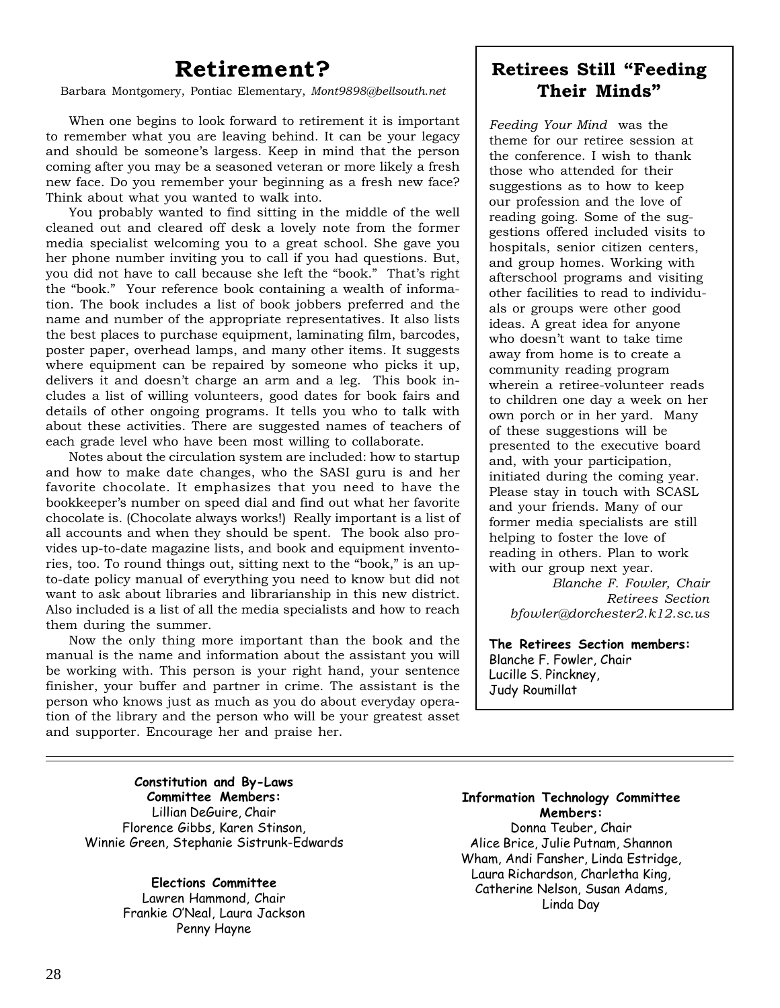# **Retirement?**

Barbara Montgomery, Pontiac Elementary, *Mont9898@bellsouth.net*

When one begins to look forward to retirement it is important to remember what you are leaving behind. It can be your legacy and should be someone's largess. Keep in mind that the person coming after you may be a seasoned veteran or more likely a fresh new face. Do you remember your beginning as a fresh new face? Think about what you wanted to walk into.

You probably wanted to find sitting in the middle of the well cleaned out and cleared off desk a lovely note from the former media specialist welcoming you to a great school. She gave you her phone number inviting you to call if you had questions. But, you did not have to call because she left the "book." That's right the "book." Your reference book containing a wealth of information. The book includes a list of book jobbers preferred and the name and number of the appropriate representatives. It also lists the best places to purchase equipment, laminating film, barcodes, poster paper, overhead lamps, and many other items. It suggests where equipment can be repaired by someone who picks it up, delivers it and doesn't charge an arm and a leg. This book includes a list of willing volunteers, good dates for book fairs and details of other ongoing programs. It tells you who to talk with about these activities. There are suggested names of teachers of each grade level who have been most willing to collaborate.

Notes about the circulation system are included: how to startup and how to make date changes, who the SASI guru is and her favorite chocolate. It emphasizes that you need to have the bookkeeper's number on speed dial and find out what her favorite chocolate is. (Chocolate always works!) Really important is a list of all accounts and when they should be spent. The book also provides up-to-date magazine lists, and book and equipment inventories, too. To round things out, sitting next to the "book," is an upto-date policy manual of everything you need to know but did not want to ask about libraries and librarianship in this new district. Also included is a list of all the media specialists and how to reach them during the summer.

Now the only thing more important than the book and the manual is the name and information about the assistant you will be working with. This person is your right hand, your sentence finisher, your buffer and partner in crime. The assistant is the person who knows just as much as you do about everyday operation of the library and the person who will be your greatest asset and supporter. Encourage her and praise her.

# **Retirees Still "Feeding Their Minds"**

*Feeding Your Mind* was the theme for our retiree session at the conference. I wish to thank those who attended for their suggestions as to how to keep our profession and the love of reading going. Some of the suggestions offered included visits to hospitals, senior citizen centers, and group homes. Working with afterschool programs and visiting other facilities to read to individuals or groups were other good ideas. A great idea for anyone who doesn't want to take time away from home is to create a community reading program wherein a retiree-volunteer reads to children one day a week on her own porch or in her yard. Many of these suggestions will be presented to the executive board and, with your participation, initiated during the coming year. Please stay in touch with SCASL and your friends. Many of our former media specialists are still helping to foster the love of reading in others. Plan to work with our group next year.

*Blanche F. Fowler, Chair Retirees Section bfowler@dorchester2.k12.sc.us*

**The Retirees Section members:** Blanche F. Fowler, Chair Lucille S. Pinckney, Judy Roumillat

**Constitution and By-Laws Committee Members:** Lillian DeGuire, Chair Florence Gibbs, Karen Stinson, Winnie Green, Stephanie Sistrunk-Edwards

> **Elections Committee** Lawren Hammond, Chair Frankie O'Neal, Laura Jackson Penny Hayne

**Information Technology Committee Members:** Donna Teuber, Chair Alice Brice, Julie Putnam, Shannon Wham, Andi Fansher, Linda Estridge, Laura Richardson, Charletha King,

Catherine Nelson, Susan Adams, Linda Day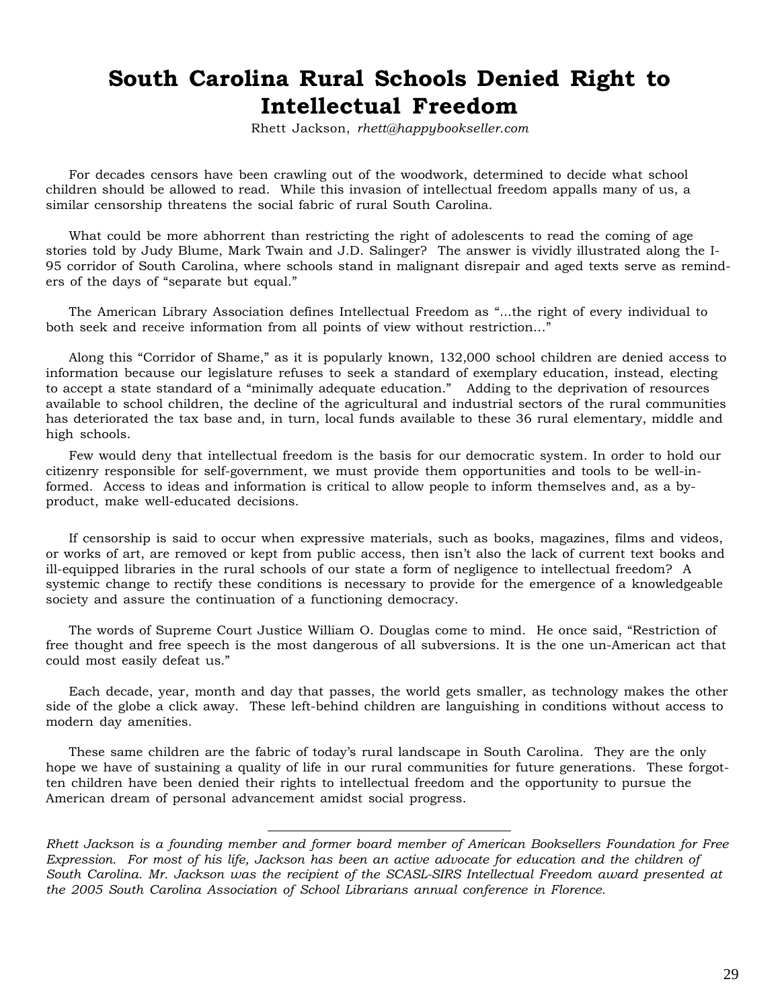# **South Carolina Rural Schools Denied Right to Intellectual Freedom**

Rhett Jackson, *rhett@happybookseller.com*

For decades censors have been crawling out of the woodwork, determined to decide what school children should be allowed to read. While this invasion of intellectual freedom appalls many of us, a similar censorship threatens the social fabric of rural South Carolina.

What could be more abhorrent than restricting the right of adolescents to read the coming of age stories told by Judy Blume, Mark Twain and J.D. Salinger? The answer is vividly illustrated along the I-95 corridor of South Carolina, where schools stand in malignant disrepair and aged texts serve as reminders of the days of "separate but equal."

The American Library Association defines Intellectual Freedom as "...the right of every individual to both seek and receive information from all points of view without restriction…"

Along this "Corridor of Shame," as it is popularly known, 132,000 school children are denied access to information because our legislature refuses to seek a standard of exemplary education, instead, electing to accept a state standard of a "minimally adequate education." Adding to the deprivation of resources available to school children, the decline of the agricultural and industrial sectors of the rural communities has deteriorated the tax base and, in turn, local funds available to these 36 rural elementary, middle and high schools.

Few would deny that intellectual freedom is the basis for our democratic system. In order to hold our citizenry responsible for self-government, we must provide them opportunities and tools to be well-informed. Access to ideas and information is critical to allow people to inform themselves and, as a byproduct, make well-educated decisions.

If censorship is said to occur when expressive materials, such as books, magazines, films and videos, or works of art, are removed or kept from public access, then isn't also the lack of current text books and ill-equipped libraries in the rural schools of our state a form of negligence to intellectual freedom? A systemic change to rectify these conditions is necessary to provide for the emergence of a knowledgeable society and assure the continuation of a functioning democracy.

The words of Supreme Court Justice William O. Douglas come to mind. He once said, "Restriction of free thought and free speech is the most dangerous of all subversions. It is the one un-American act that could most easily defeat us."

Each decade, year, month and day that passes, the world gets smaller, as technology makes the other side of the globe a click away. These left-behind children are languishing in conditions without access to modern day amenities.

These same children are the fabric of today's rural landscape in South Carolina. They are the only hope we have of sustaining a quality of life in our rural communities for future generations. These forgotten children have been denied their rights to intellectual freedom and the opportunity to pursue the American dream of personal advancement amidst social progress.

*Rhett Jackson is a founding member and former board member of American Booksellers Foundation for Free Expression. For most of his life, Jackson has been an active advocate for education and the children of South Carolina. Mr. Jackson was the recipient of the SCASL-SIRS Intellectual Freedom award presented at the 2005 South Carolina Association of School Librarians annual conference in Florence.*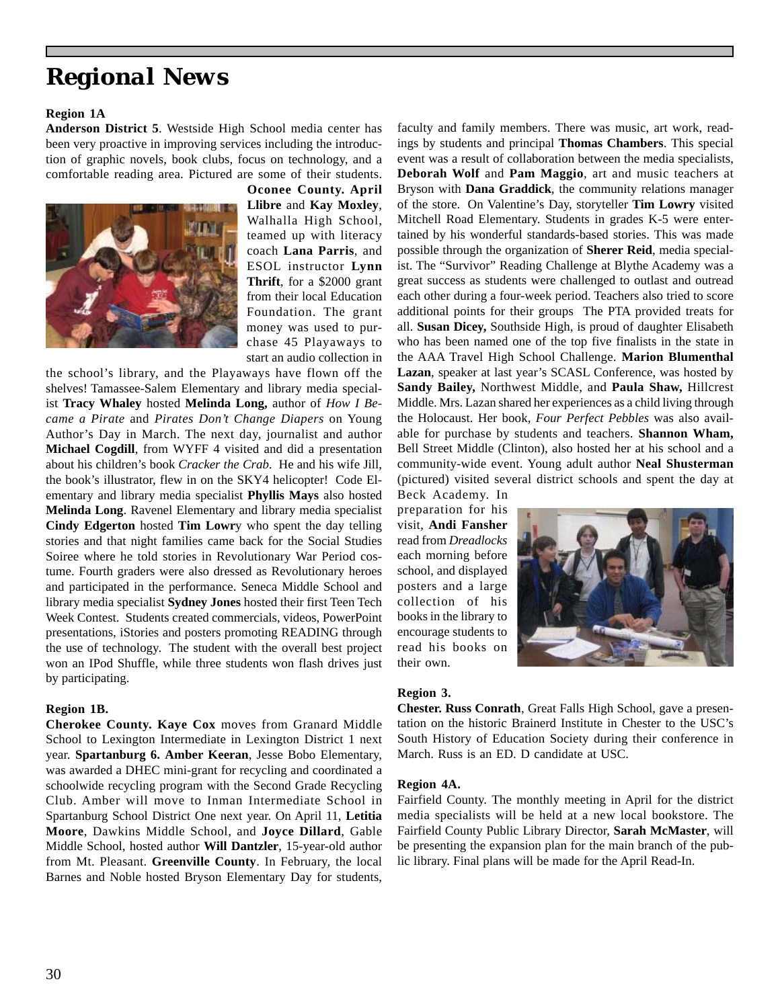# *Regional News*

### **Region 1A**

**Anderson District 5**. Westside High School media center has been very proactive in improving services including the introduction of graphic novels, book clubs, focus on technology, and a comfortable reading area. Pictured are some of their students.



**Oconee County. April Llibre** and **Kay Moxley**, Walhalla High School, teamed up with literacy coach **Lana Parris**, and ESOL instructor **Lynn Thrift**, for a \$2000 grant from their local Education Foundation. The grant money was used to purchase 45 Playaways to start an audio collection in

the school's library, and the Playaways have flown off the shelves! Tamassee-Salem Elementary and library media specialist **Tracy Whaley** hosted **Melinda Long,** author of *How I Became a Pirate* and *Pirates Don't Change Diapers* on Young Author's Day in March. The next day, journalist and author **Michael Cogdill**, from WYFF 4 visited and did a presentation about his children's book *Cracker the Crab*. He and his wife Jill, the book's illustrator, flew in on the SKY4 helicopter! Code Elementary and library media specialist **Phyllis Mays** also hosted **Melinda Long**. Ravenel Elementary and library media specialist **Cindy Edgerton** hosted **Tim Lowr**y who spent the day telling stories and that night families came back for the Social Studies Soiree where he told stories in Revolutionary War Period costume. Fourth graders were also dressed as Revolutionary heroes and participated in the performance. Seneca Middle School and library media specialist **Sydney Jones** hosted their first Teen Tech Week Contest. Students created commercials, videos, PowerPoint presentations, iStories and posters promoting READING through the use of technology. The student with the overall best project won an IPod Shuffle, while three students won flash drives just by participating.

### **Region 1B.**

**Cherokee County. Kaye Cox** moves from Granard Middle School to Lexington Intermediate in Lexington District 1 next year. **Spartanburg 6. Amber Keeran**, Jesse Bobo Elementary, was awarded a DHEC mini-grant for recycling and coordinated a schoolwide recycling program with the Second Grade Recycling Club. Amber will move to Inman Intermediate School in Spartanburg School District One next year. On April 11, **Letitia Moore**, Dawkins Middle School, and **Joyce Dillard**, Gable Middle School, hosted author **Will Dantzler**, 15-year-old author from Mt. Pleasant. **Greenville County**. In February, the local Barnes and Noble hosted Bryson Elementary Day for students,

faculty and family members. There was music, art work, readings by students and principal **Thomas Chambers**. This special event was a result of collaboration between the media specialists, **Deborah Wolf** and **Pam Maggio**, art and music teachers at Bryson with **Dana Graddick**, the community relations manager of the store. On Valentine's Day, storyteller **Tim Lowry** visited Mitchell Road Elementary. Students in grades K-5 were entertained by his wonderful standards-based stories. This was made possible through the organization of **Sherer Reid**, media specialist. The "Survivor" Reading Challenge at Blythe Academy was a great success as students were challenged to outlast and outread each other during a four-week period. Teachers also tried to score additional points for their groups The PTA provided treats for all. **Susan Dicey,** Southside High, is proud of daughter Elisabeth who has been named one of the top five finalists in the state in the AAA Travel High School Challenge. **Marion Blumenthal Lazan**, speaker at last year's SCASL Conference, was hosted by **Sandy Bailey,** Northwest Middle, and **Paula Shaw,** Hillcrest Middle. Mrs. Lazan shared her experiences as a child living through the Holocaust. Her book, *Four Perfect Pebbles* was also available for purchase by students and teachers. **Shannon Wham,** Bell Street Middle (Clinton), also hosted her at his school and a community-wide event. Young adult author **Neal Shusterman** (pictured) visited several district schools and spent the day at

Beck Academy. In preparation for his visit, **Andi Fansher** read from *Dreadlocks* each morning before school, and displayed posters and a large collection of his books in the library to encourage students to read his books on their own.



## **Region 3.**

**Chester. Russ Conrath**, Great Falls High School, gave a presentation on the historic Brainerd Institute in Chester to the USC's South History of Education Society during their conference in March. Russ is an ED. D candidate at USC.

#### **Region 4A.**

Fairfield County. The monthly meeting in April for the district media specialists will be held at a new local bookstore. The Fairfield County Public Library Director, **Sarah McMaster**, will be presenting the expansion plan for the main branch of the public library. Final plans will be made for the April Read-In.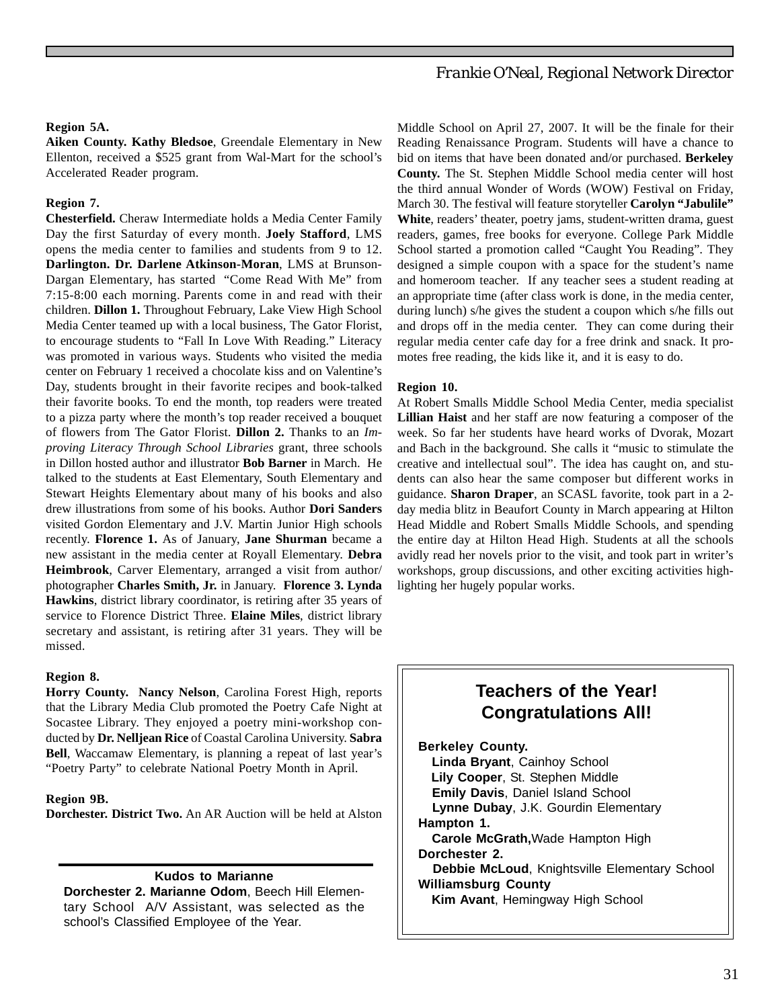# *Frankie O'Neal, Regional Network Director*

#### **Region 5A.**

**Aiken County. Kathy Bledsoe**, Greendale Elementary in New Ellenton, received a \$525 grant from Wal-Mart for the school's Accelerated Reader program.

## **Region 7.**

**Chesterfield.** Cheraw Intermediate holds a Media Center Family Day the first Saturday of every month. **Joely Stafford**, LMS opens the media center to families and students from 9 to 12. **Darlington. Dr. Darlene Atkinson-Moran**, LMS at Brunson-Dargan Elementary, has started "Come Read With Me" from 7:15-8:00 each morning. Parents come in and read with their children. **Dillon 1.** Throughout February, Lake View High School Media Center teamed up with a local business, The Gator Florist, to encourage students to "Fall In Love With Reading." Literacy was promoted in various ways. Students who visited the media center on February 1 received a chocolate kiss and on Valentine's Day, students brought in their favorite recipes and book-talked their favorite books. To end the month, top readers were treated to a pizza party where the month's top reader received a bouquet of flowers from The Gator Florist. **Dillon 2.** Thanks to an *Improving Literacy Through School Libraries* grant, three schools in Dillon hosted author and illustrator **Bob Barner** in March. He talked to the students at East Elementary, South Elementary and Stewart Heights Elementary about many of his books and also drew illustrations from some of his books. Author **Dori Sanders** visited Gordon Elementary and J.V. Martin Junior High schools recently. **Florence 1.** As of January, **Jane Shurman** became a new assistant in the media center at Royall Elementary. **Debra Heimbrook**, Carver Elementary, arranged a visit from author/ photographer **Charles Smith, Jr.** in January. **Florence 3. Lynda Hawkins**, district library coordinator, is retiring after 35 years of service to Florence District Three. **Elaine Miles**, district library secretary and assistant, is retiring after 31 years. They will be missed.

#### **Region 8.**

**Horry County. Nancy Nelson**, Carolina Forest High, reports that the Library Media Club promoted the Poetry Cafe Night at Socastee Library. They enjoyed a poetry mini-workshop conducted by **Dr. Nelljean Rice** of Coastal Carolina University. **Sabra Bell**, Waccamaw Elementary, is planning a repeat of last year's "Poetry Party" to celebrate National Poetry Month in April.

#### **Region 9B.**

**Dorchester. District Two.** An AR Auction will be held at Alston

#### **Kudos to Marianne**

**Dorchester 2. Marianne Odom**, Beech Hill Elementary School A/V Assistant, was selected as the school's Classified Employee of the Year.

Middle School on April 27, 2007. It will be the finale for their Reading Renaissance Program. Students will have a chance to bid on items that have been donated and/or purchased. **Berkeley County.** The St. Stephen Middle School media center will host the third annual Wonder of Words (WOW) Festival on Friday, March 30. The festival will feature storyteller **Carolyn "Jabulile" White**, readers' theater, poetry jams, student-written drama, guest readers, games, free books for everyone. College Park Middle School started a promotion called "Caught You Reading". They designed a simple coupon with a space for the student's name and homeroom teacher. If any teacher sees a student reading at an appropriate time (after class work is done, in the media center, during lunch) s/he gives the student a coupon which s/he fills out and drops off in the media center. They can come during their regular media center cafe day for a free drink and snack. It promotes free reading, the kids like it, and it is easy to do.

#### **Region 10.**

At Robert Smalls Middle School Media Center, media specialist **Lillian Haist** and her staff are now featuring a composer of the week. So far her students have heard works of Dvorak, Mozart and Bach in the background. She calls it "music to stimulate the creative and intellectual soul". The idea has caught on, and students can also hear the same composer but different works in guidance. **Sharon Draper**, an SCASL favorite, took part in a 2 day media blitz in Beaufort County in March appearing at Hilton Head Middle and Robert Smalls Middle Schools, and spending the entire day at Hilton Head High. Students at all the schools avidly read her novels prior to the visit, and took part in writer's workshops, group discussions, and other exciting activities highlighting her hugely popular works.

# **Teachers of the Year! Congratulations All!**

**Berkeley County. Linda Bryant**, Cainhoy School  **Lily Cooper**, St. Stephen Middle  **Emily Davis**, Daniel Island School  **Lynne Dubay**, J.K. Gourdin Elementary **Hampton 1. Carole McGrath,**Wade Hampton High **Dorchester 2. Debbie McLoud**, Knightsville Elementary School **Williamsburg County Kim Avant**, Hemingway High School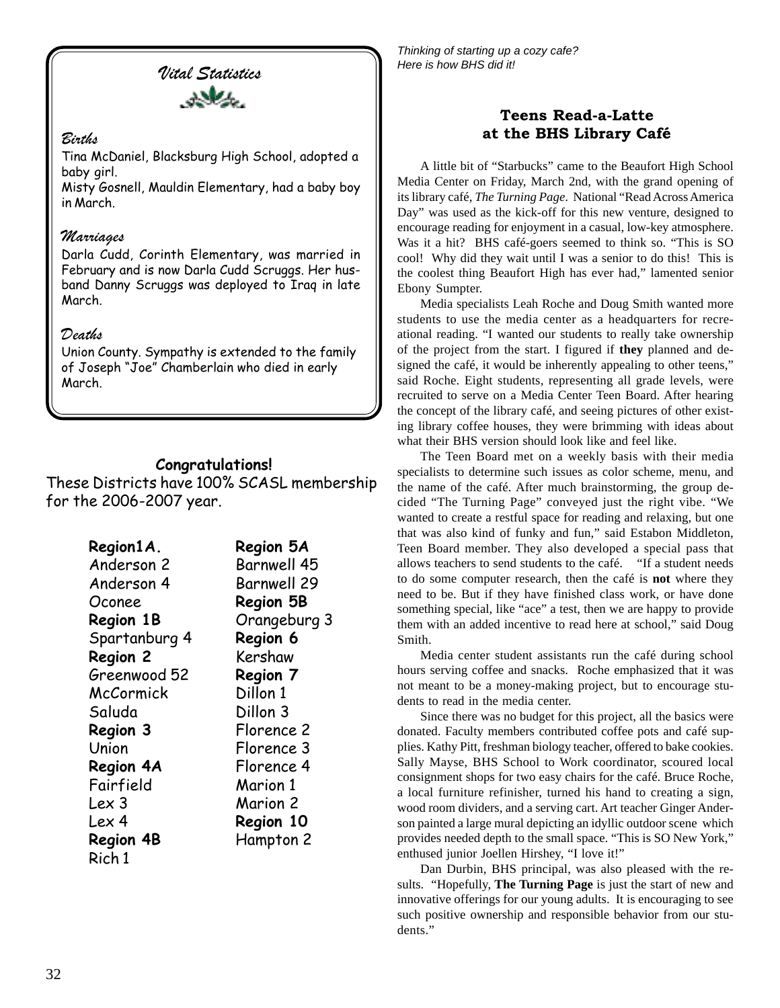*Vital Statistics*



# *Births*

Tina McDaniel, Blacksburg High School, adopted a baby girl.

Misty Gosnell, Mauldin Elementary, had a baby boy in March.

# *Marriages*

Darla Cudd, Corinth Elementary, was married in February and is now Darla Cudd Scruggs. Her husband Danny Scruggs was deployed to Iraq in late March.

# *Deaths*

Union County. Sympathy is extended to the family of Joseph "Joe" Chamberlain who died in early March.

# **Congratulations!**

These Districts have 100% SCASL membership for the 2006-2007 year.

| Region1A.        | Region 5A          |
|------------------|--------------------|
| Anderson 2       | <b>Barnwell 45</b> |
| Anderson 4       | <b>Barnwell 29</b> |
| Oconee           | <b>Region 5B</b>   |
| <b>Region 1B</b> | Orangeburg 3       |
| Spartanburg 4    | Region 6           |
| Region 2         | Kershaw            |
| Greenwood 52     | Region 7           |
| McCormick        | Dillon 1           |
| Saluda           | Dillon 3           |
| Region 3         | Florence 2         |
| Union            | Florence 3         |
| Region 4A        | Florence 4         |
| Fairfield        | Marion 1           |
| Lex 3            | Marion 2           |
| Lex 4            | Region 10          |
| <b>Region 4B</b> | Hampton 2          |
| Rich 1           |                    |

*Thinking of starting up a cozy cafe? Here is how BHS did it!*

# **Teens Read-a-Latte at the BHS Library Café**

A little bit of "Starbucks" came to the Beaufort High School Media Center on Friday, March 2nd, with the grand opening of its library café, *The Turning Page*. National "Read Across America Day" was used as the kick-off for this new venture, designed to encourage reading for enjoyment in a casual, low-key atmosphere. Was it a hit? BHS café-goers seemed to think so. "This is SO cool! Why did they wait until I was a senior to do this! This is the coolest thing Beaufort High has ever had," lamented senior Ebony Sumpter.

Media specialists Leah Roche and Doug Smith wanted more students to use the media center as a headquarters for recreational reading. "I wanted our students to really take ownership of the project from the start. I figured if **they** planned and designed the café, it would be inherently appealing to other teens," said Roche. Eight students, representing all grade levels, were recruited to serve on a Media Center Teen Board. After hearing the concept of the library café, and seeing pictures of other existing library coffee houses, they were brimming with ideas about what their BHS version should look like and feel like.

The Teen Board met on a weekly basis with their media specialists to determine such issues as color scheme, menu, and the name of the café. After much brainstorming, the group decided "The Turning Page" conveyed just the right vibe. "We wanted to create a restful space for reading and relaxing, but one that was also kind of funky and fun," said Estabon Middleton, Teen Board member. They also developed a special pass that allows teachers to send students to the café. "If a student needs to do some computer research, then the café is **not** where they need to be. But if they have finished class work, or have done something special, like "ace" a test, then we are happy to provide them with an added incentive to read here at school," said Doug Smith.

Media center student assistants run the café during school hours serving coffee and snacks. Roche emphasized that it was not meant to be a money-making project, but to encourage students to read in the media center.

Since there was no budget for this project, all the basics were donated. Faculty members contributed coffee pots and café supplies. Kathy Pitt, freshman biology teacher, offered to bake cookies. Sally Mayse, BHS School to Work coordinator, scoured local consignment shops for two easy chairs for the café. Bruce Roche, a local furniture refinisher, turned his hand to creating a sign, wood room dividers, and a serving cart. Art teacher Ginger Anderson painted a large mural depicting an idyllic outdoor scene which provides needed depth to the small space. "This is SO New York," enthused junior Joellen Hirshey, "I love it!"

Dan Durbin, BHS principal, was also pleased with the results. "Hopefully, **The Turning Page** is just the start of new and innovative offerings for our young adults. It is encouraging to see such positive ownership and responsible behavior from our students."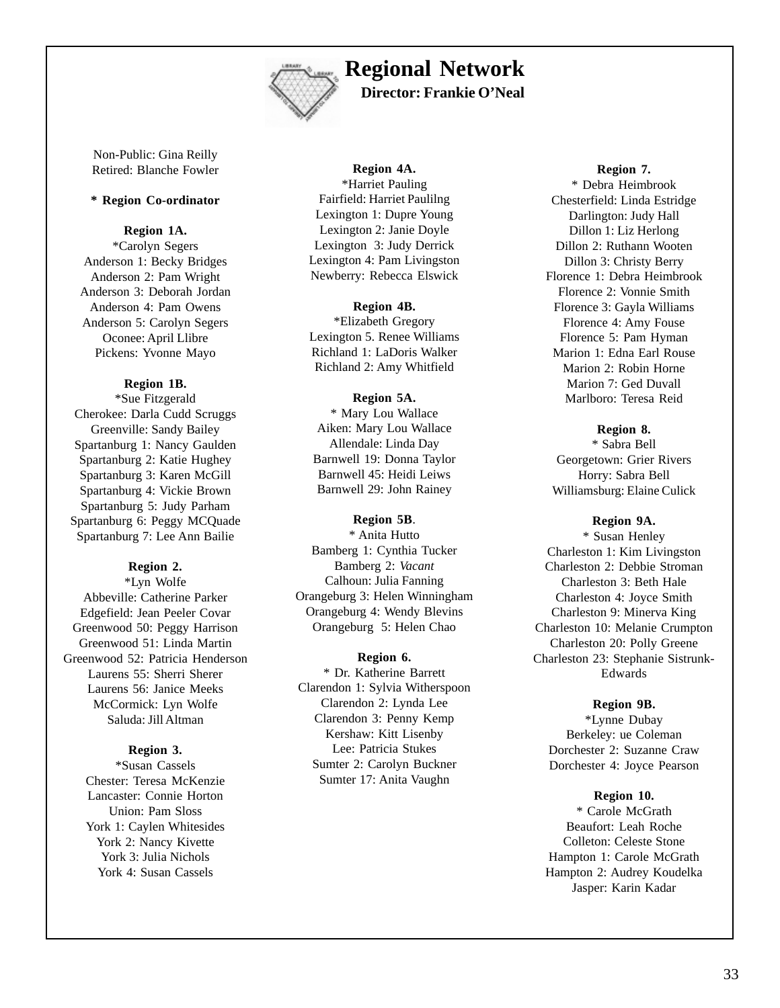

# **Regional Network**

**Director: Frankie O'Neal**

Non-Public: Gina Reilly Retired: Blanche Fowler

## **\* Region Co-ordinator**

#### **Region 1A.**

\*Carolyn Segers Anderson 1: Becky Bridges Anderson 2: Pam Wright Anderson 3: Deborah Jordan Anderson 4: Pam Owens Anderson 5: Carolyn Segers Oconee: April Llibre Pickens: Yvonne Mayo

#### **Region 1B.**

\*Sue Fitzgerald Cherokee: Darla Cudd Scruggs Greenville: Sandy Bailey Spartanburg 1: Nancy Gaulden Spartanburg 2: Katie Hughey Spartanburg 3: Karen McGill Spartanburg 4: Vickie Brown Spartanburg 5: Judy Parham Spartanburg 6: Peggy MCQuade Spartanburg 7: Lee Ann Bailie

## **Region 2.**

\*Lyn Wolfe Abbeville: Catherine Parker Edgefield: Jean Peeler Covar Greenwood 50: Peggy Harrison Greenwood 51: Linda Martin Greenwood 52: Patricia Henderson Laurens 55: Sherri Sherer Laurens 56: Janice Meeks McCormick: Lyn Wolfe Saluda: Jill Altman

#### **Region 3.**

\*Susan Cassels Chester: Teresa McKenzie Lancaster: Connie Horton Union: Pam Sloss York 1: Caylen Whitesides York 2: Nancy Kivette York 3: Julia Nichols York 4: Susan Cassels

### **Region 4A.** \*Harriet Pauling Fairfield: Harriet Paulilng Lexington 1: Dupre Young Lexington 2: Janie Doyle Lexington 3: Judy Derrick Lexington 4: Pam Livingston Newberry: Rebecca Elswick

**Region 4B.** \*Elizabeth Gregory Lexington 5. Renee Williams Richland 1: LaDoris Walker Richland 2: Amy Whitfield

**Region 5A.** \* Mary Lou Wallace Aiken: Mary Lou Wallace Allendale: Linda Day Barnwell 19: Donna Taylor Barnwell 45: Heidi Leiws Barnwell 29: John Rainey

#### **Region 5B**.

\* Anita Hutto Bamberg 1: Cynthia Tucker Bamberg 2: *Vacant* Calhoun: Julia Fanning Orangeburg 3: Helen Winningham Orangeburg 4: Wendy Blevins Orangeburg 5: Helen Chao

### **Region 6.**

\* Dr. Katherine Barrett Clarendon 1: Sylvia Witherspoon Clarendon 2: Lynda Lee Clarendon 3: Penny Kemp Kershaw: Kitt Lisenby Lee: Patricia Stukes Sumter 2: Carolyn Buckner Sumter 17: Anita Vaughn

**Region 7.**

\* Debra Heimbrook Chesterfield: Linda Estridge Darlington: Judy Hall Dillon 1: Liz Herlong Dillon 2: Ruthann Wooten Dillon 3: Christy Berry Florence 1: Debra Heimbrook Florence 2: Vonnie Smith Florence 3: Gayla Williams Florence 4: Amy Fouse Florence 5: Pam Hyman Marion 1: Edna Earl Rouse Marion 2: Robin Horne Marion 7: Ged Duvall Marlboro: Teresa Reid

#### **Region 8.**

\* Sabra Bell Georgetown: Grier Rivers Horry: Sabra Bell Williamsburg: Elaine Culick

#### **Region 9A.**

\* Susan Henley Charleston 1: Kim Livingston Charleston 2: Debbie Stroman Charleston 3: Beth Hale Charleston 4: Joyce Smith Charleston 9: Minerva King Charleston 10: Melanie Crumpton Charleston 20: Polly Greene Charleston 23: Stephanie Sistrunk-Edwards

#### **Region 9B.**

\*Lynne Dubay Berkeley: ue Coleman Dorchester 2: Suzanne Craw Dorchester 4: Joyce Pearson

#### **Region 10.**

\* Carole McGrath Beaufort: Leah Roche Colleton: Celeste Stone Hampton 1: Carole McGrath Hampton 2: Audrey Koudelka Jasper: Karin Kadar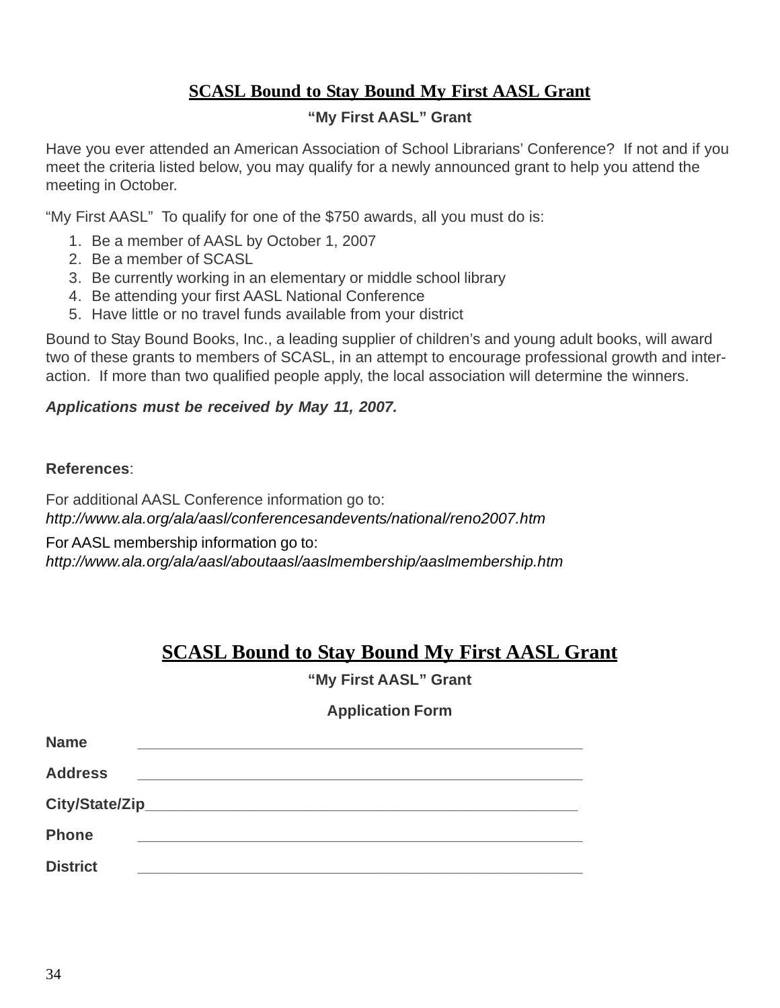# **SCASL Bound to Stay Bound My First AASL Grant**

# **"My First AASL" Grant**

Have you ever attended an American Association of School Librarians' Conference? If not and if you meet the criteria listed below, you may qualify for a newly announced grant to help you attend the meeting in October.

"My First AASL" To qualify for one of the \$750 awards, all you must do is:

- 1. Be a member of AASL by October 1, 2007
- 2. Be a member of SCASL
- 3. Be currently working in an elementary or middle school library
- 4. Be attending your first AASL National Conference
- 5. Have little or no travel funds available from your district

Bound to Stay Bound Books, Inc., a leading supplier of children's and young adult books, will award two of these grants to members of SCASL, in an attempt to encourage professional growth and interaction. If more than two qualified people apply, the local association will determine the winners.

# *Applications must be received by May 11, 2007.*

# **References**:

For additional AASL Conference information go to: *http://www.ala.org/ala/aasl/conferencesandevents/national/reno2007.htm*

For AASL membership information go to:

*http://www.ala.org/ala/aasl/aboutaasl/aaslmembership/aaslmembership.htm*

# **SCASL Bound to Stay Bound My First AASL Grant**

**"My First AASL" Grant**

# **Application Form**

| <b>Name</b>     |  |
|-----------------|--|
| <b>Address</b>  |  |
|                 |  |
| <b>Phone</b>    |  |
| <b>District</b> |  |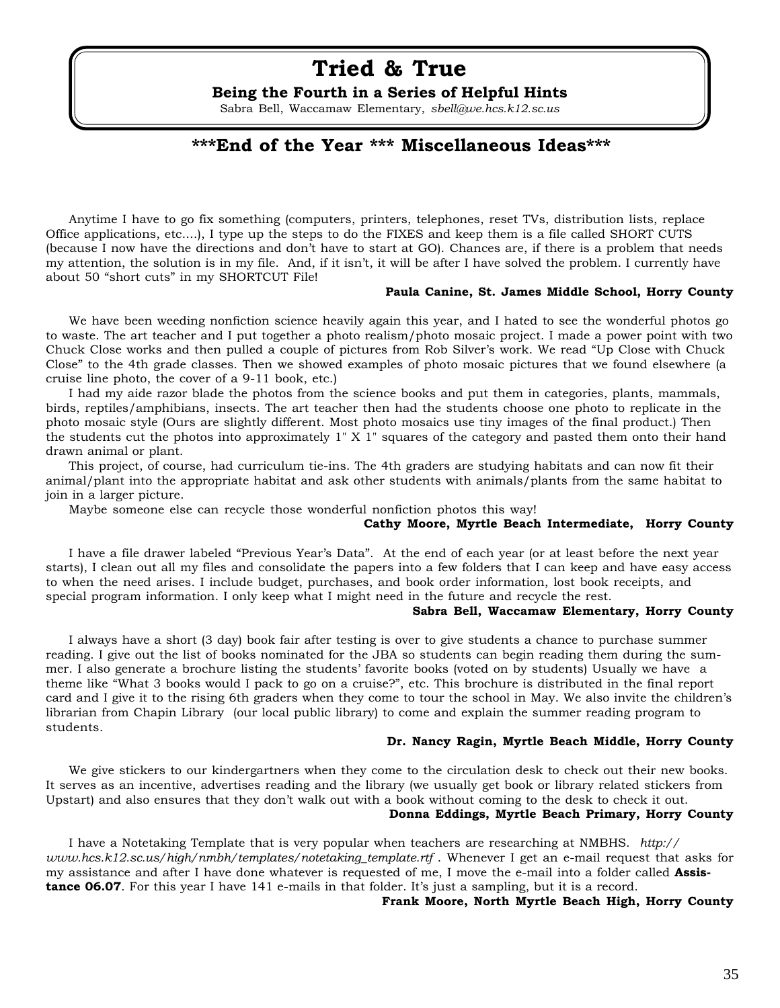# **Tried & True**

## **Being the Fourth in a Series of Helpful Hints**

Sabra Bell, Waccamaw Elementary, *sbell@we.hcs.k12.sc.us*

# **\*\*\*End of the Year \*\*\* Miscellaneous Ideas\*\*\***

Anytime I have to go fix something (computers, printers, telephones, reset TVs, distribution lists, replace Office applications, etc....), I type up the steps to do the FIXES and keep them is a file called SHORT CUTS (because I now have the directions and don't have to start at GO). Chances are, if there is a problem that needs my attention, the solution is in my file. And, if it isn't, it will be after I have solved the problem. I currently have about 50 "short cuts" in my SHORTCUT File!

#### **Paula Canine, St. James Middle School, Horry County**

We have been weeding nonfiction science heavily again this year, and I hated to see the wonderful photos go to waste. The art teacher and I put together a photo realism/photo mosaic project. I made a power point with two Chuck Close works and then pulled a couple of pictures from Rob Silver's work. We read "Up Close with Chuck Close" to the 4th grade classes. Then we showed examples of photo mosaic pictures that we found elsewhere (a cruise line photo, the cover of a 9-11 book, etc.)

I had my aide razor blade the photos from the science books and put them in categories, plants, mammals, birds, reptiles/amphibians, insects. The art teacher then had the students choose one photo to replicate in the photo mosaic style (Ours are slightly different. Most photo mosaics use tiny images of the final product.) Then the students cut the photos into approximately 1" X 1" squares of the category and pasted them onto their hand drawn animal or plant.

This project, of course, had curriculum tie-ins. The 4th graders are studying habitats and can now fit their animal/plant into the appropriate habitat and ask other students with animals/plants from the same habitat to join in a larger picture.

Maybe someone else can recycle those wonderful nonfiction photos this way!

### **Cathy Moore, Myrtle Beach Intermediate, Horry County**

I have a file drawer labeled "Previous Year's Data". At the end of each year (or at least before the next year starts), I clean out all my files and consolidate the papers into a few folders that I can keep and have easy access to when the need arises. I include budget, purchases, and book order information, lost book receipts, and special program information. I only keep what I might need in the future and recycle the rest.

#### **Sabra Bell, Waccamaw Elementary, Horry County**

I always have a short (3 day) book fair after testing is over to give students a chance to purchase summer reading. I give out the list of books nominated for the JBA so students can begin reading them during the summer. I also generate a brochure listing the students' favorite books (voted on by students) Usually we have a theme like "What 3 books would I pack to go on a cruise?", etc. This brochure is distributed in the final report card and I give it to the rising 6th graders when they come to tour the school in May. We also invite the children's librarian from Chapin Library (our local public library) to come and explain the summer reading program to students.

#### **Dr. Nancy Ragin, Myrtle Beach Middle, Horry County**

We give stickers to our kindergartners when they come to the circulation desk to check out their new books. It serves as an incentive, advertises reading and the library (we usually get book or library related stickers from Upstart) and also ensures that they don't walk out with a book without coming to the desk to check it out.

## **Donna Eddings, Myrtle Beach Primary, Horry County**

I have a Notetaking Template that is very popular when teachers are researching at NMBHS. *http:// www.hcs.k12.sc.us/high/nmbh/templates/notetaking\_template.rtf* . Whenever I get an e-mail request that asks for my assistance and after I have done whatever is requested of me, I move the e-mail into a folder called **Assistance 06.07**. For this year I have 141 e-mails in that folder. It's just a sampling, but it is a record.

#### **Frank Moore, North Myrtle Beach High, Horry County**